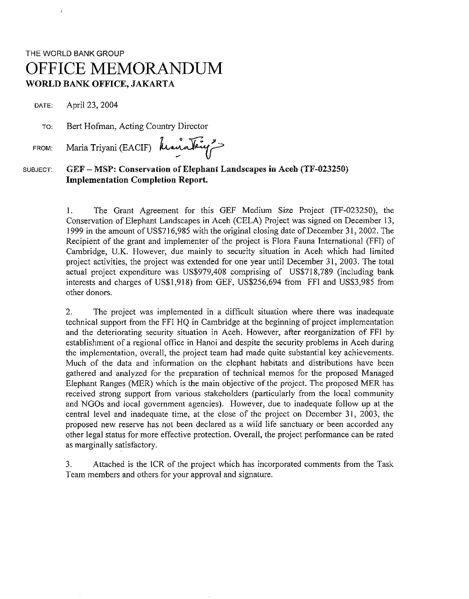# THE WORLD BANK GROUP OFFICE MEMORANDUM **WORLD BANK OFFICE, JAKARTA**

DATE: April 23, 2004

 $\overline{1}$ 

TO: Bert Hofman, Acting Country Director

FROM: Maria Triyani (EACIF) **h**

## SUBJECT: *GEF* **- MSP: Conservation of Elephant Landscapes in Aceh (TF-023250) Implementation Completion Report.**

1. The Grant Agreement for this GEF Medium Size Project (TF-023250), the Conservation of Elephant Landscapes in Aceh (CELA) Project was signed on December 13, 1999 in the amount of US\$716,985 with the original closing date of December 31, 2002. The Recipient of the grant and implementer of the project is Flora Fauna International (FFI) of Cambridge, U.K. However, due mainly to security situation in Aceh which had limited project activities, the project was extended for one year until December 31, 2003. The total actual project expenditure was US\$979,408 comprising of US\$718,789 (including bank interests and charges of US\$1,918) from GEF, US\$256,694 from FF1 and US\$3,985 from other donors.

2. The project was implemented in a difficult situation where there was inadequate technical support from the FFI HQ in Cambridge at the beginning of project implementation and the deteriorating security situation in Aceh. However, after reorganization of FF1 by establishment of a regional office in Hanoi and despite the security problems in Aceh during the implementation, overall, the project team had made quite substantial key achievements. Much of the data and information on the elephant habitats and distributions have been gathered and analyzed for the preparation of technical memos for the proposed Managed Elephant Ranges (MER) which is the main objective of the project. The proposed MER has received strong support from various stakeholders (particularly from the local community and NGOs and local government agencies). However, due to inadequate follow up at the central level and inadequate time, at the close of the project on December 31, 2003, the proposed new reserve has not been declared as a wild life sanctuary or been accorded any other legal status for more effective protection. Overall, the project performance can be rated as marginally satisfactory.

3. Attached is the ICR of the project which has incorporated comments from the Task Team members and others for your approval and signature.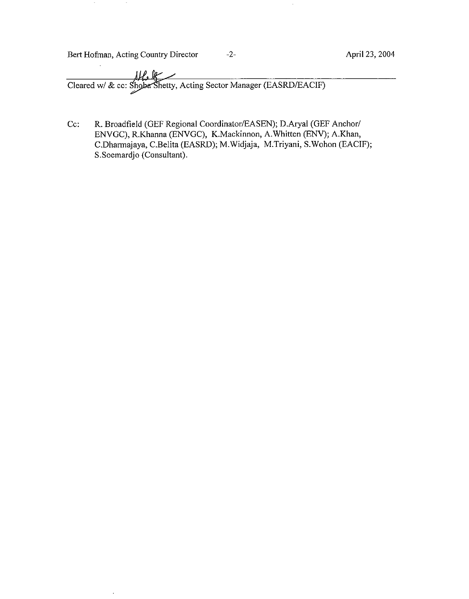Bert Hofman, Acting Country Director -2- April 23, 2004

 $\sim$ 

 $\ddot{\phantom{1}}$ 

 $\sim$ 

 $\hat{\mathcal{A}}$ 

Cc: R. Broadfield (GEF Regional Coordinator/EASEN); D.Aryal (GEF Anchor/ ENVGC), R.Khanna (ENVGC), K.Mackinnon, A.Whitten (ENV); A.Khan, C.Dharmajaya, C.Belita (EASRD); M.Widjaja, M.Triyani, S.Wohon (EACIF); S.Soemardjo (Consultant).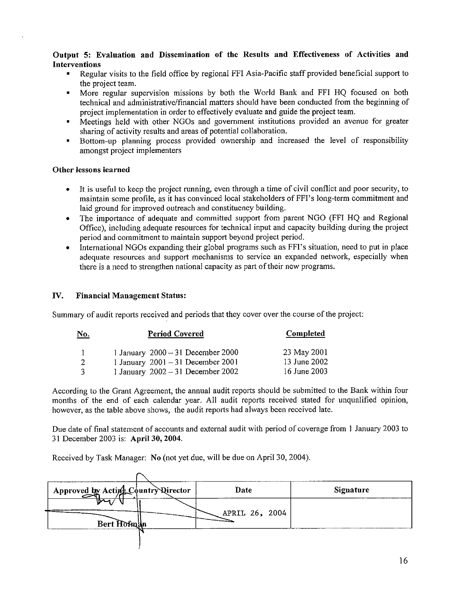#### **Output 5: Evaluation and Dissemination of the Results and Effectiveness of Activities and Interventions**

- **\*** Regular visits to the **field** office by regional FFI Asia-Pacific staff provided beneficial support to the project team.
- \* More regular supervision missions by both the World Bank and FFI HQ focused on both technical and administrative/financial matters should have been conducted from the beginning of project implementation in order to effectively evaluate and guide the project team.
- \* Meetings held with other NGOs and government institutions provided an avenue for greater sharing of activity results and areas of potential collaboration.
- \* Bottom-up planning process provided ownership and increased the level of responsibility amongst project implementers

#### **Other lessons learned**

- \* It is useful to keep the project running, even through a time of civil conflict and poor security, to maintain some profile, as it has convinced local stakeholders of FFI's long-term commitment and laid ground for improved outreach and constituency building.
- \* The importance of adequate and committed support from parent NGO (FFI HQ and Regional Office), including adequate resources for technical input and capacity building during the project period and commitment to maintain support beyond project period.
- International NGOs expanding their global programs such as FFI's situation, need to put in place adequate resources and support mechanisms to service an expanded network, especially when there is a need to strengthen national capacity as part of their new programs.

#### IV. **Financial Management Status:**

Summary of audit reports received and periods that they cover over the course of the project:

| <u>No.</u> | <b>Period Covered</b>               | Completed    |
|------------|-------------------------------------|--------------|
|            | 1 January $2000 - 31$ December 2000 | 23 May 2001  |
| 2          | 1 January $2001 - 31$ December 2001 | 13 June 2002 |
| 3          | 1 January $2002 - 31$ December 2002 | 16 June 2003 |

According to the Grant Agreement, the annual audit reports should be submitted to the Bank within four months of the end of each calendar year. All audit reports received stated for unqualified opinion, however, as the table above shows, the audit reports had always been received late.

Due date of final statement of accounts and external audit with period of coverage from I January 2003 to 31 December 2003 is: **April 30, 2004.**

Received by Task Manager: No (not yet due, will be due on April 30, 2004).

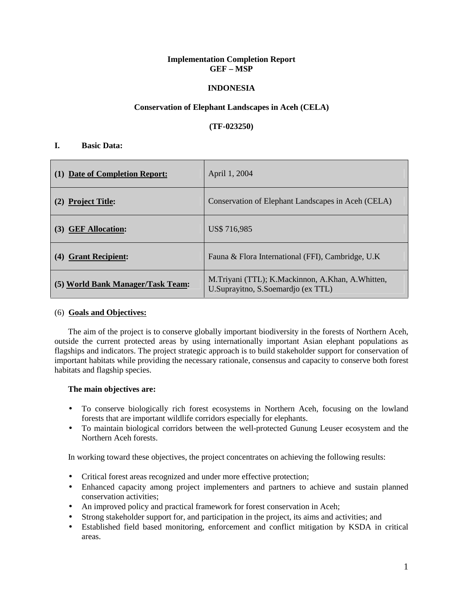#### **Implementation Completion Report GEF – MSP**

#### **INDONESIA**

#### **Conservation of Elephant Landscapes in Aceh (CELA)**

**(TF-023250)** 

#### **I. Basic Data:**

| (1) Date of Completion Report:    | April 1, 2004                                                                            |
|-----------------------------------|------------------------------------------------------------------------------------------|
| (2) Project Title:                | Conservation of Elephant Landscapes in Aceh (CELA)                                       |
| (3) GEF Allocation:               | US\$ 716,985                                                                             |
| <b>Grant Recipient:</b><br>(4)    | Fauna & Flora International (FFI), Cambridge, U.K.                                       |
| (5) World Bank Manager/Task Team: | M.Triyani (TTL); K.Mackinnon, A.Khan, A.Whitten,<br>U. Suprayitno, S. Soemardjo (ex TTL) |

#### (6) **Goals and Objectives:**

The aim of the project is to conserve globally important biodiversity in the forests of Northern Aceh, outside the current protected areas by using internationally important Asian elephant populations as flagships and indicators. The project strategic approach is to build stakeholder support for conservation of important habitats while providing the necessary rationale, consensus and capacity to conserve both forest habitats and flagship species.

#### **The main objectives are:**

- To conserve biologically rich forest ecosystems in Northern Aceh, focusing on the lowland forests that are important wildlife corridors especially for elephants.
- To maintain biological corridors between the well-protected Gunung Leuser ecosystem and the Northern Aceh forests.

In working toward these objectives, the project concentrates on achieving the following results:

- Critical forest areas recognized and under more effective protection;
- Enhanced capacity among project implementers and partners to achieve and sustain planned conservation activities;
- An improved policy and practical framework for forest conservation in Aceh;
- Strong stakeholder support for, and participation in the project, its aims and activities; and
- Established field based monitoring, enforcement and conflict mitigation by KSDA in critical areas.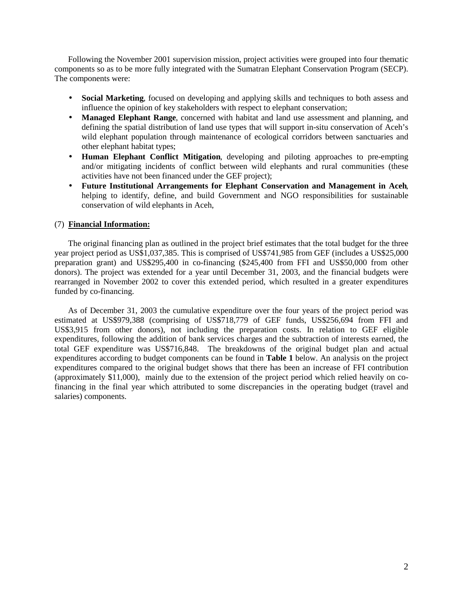Following the November 2001 supervision mission, project activities were grouped into four thematic components so as to be more fully integrated with the Sumatran Elephant Conservation Program (SECP). The components were:

- **Social Marketing**, focused on developing and applying skills and techniques to both assess and influence the opinion of key stakeholders with respect to elephant conservation;
- **Managed Elephant Range**, concerned with habitat and land use assessment and planning, and defining the spatial distribution of land use types that will support in-situ conservation of Aceh's wild elephant population through maintenance of ecological corridors between sanctuaries and other elephant habitat types;
- **Human Elephant Conflict Mitigation**, developing and piloting approaches to pre-empting and/or mitigating incidents of conflict between wild elephants and rural communities (these activities have not been financed under the GEF project);
- **Future Institutional Arrangements for Elephant Conservation and Management in Aceh**, helping to identify, define, and build Government and NGO responsibilities for sustainable conservation of wild elephants in Aceh,

#### (7) **Financial Information:**

The original financing plan as outlined in the project brief estimates that the total budget for the three year project period as US\$1,037,385. This is comprised of US\$741,985 from GEF (includes a US\$25,000 preparation grant) and US\$295,400 in co-financing (\$245,400 from FFI and US\$50,000 from other donors). The project was extended for a year until December 31, 2003, and the financial budgets were rearranged in November 2002 to cover this extended period, which resulted in a greater expenditures funded by co-financing.

As of December 31, 2003 the cumulative expenditure over the four years of the project period was estimated at US\$979,388 (comprising of US\$718,779 of GEF funds, US\$256,694 from FFI and US\$3,915 from other donors), not including the preparation costs. In relation to GEF eligible expenditures, following the addition of bank services charges and the subtraction of interests earned, the total GEF expenditure was US\$716,848. The breakdowns of the original budget plan and actual expenditures according to budget components can be found in **Table 1** below. An analysis on the project expenditures compared to the original budget shows that there has been an increase of FFI contribution (approximately \$11,000), mainly due to the extension of the project period which relied heavily on cofinancing in the final year which attributed to some discrepancies in the operating budget (travel and salaries) components.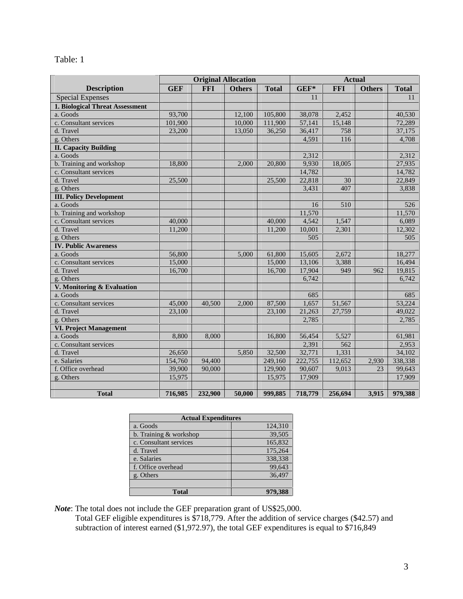| `able |  |
|-------|--|
|-------|--|

|                                 | <b>Original Allocation</b> |            | <b>Actual</b> |              |         |            |               |              |
|---------------------------------|----------------------------|------------|---------------|--------------|---------|------------|---------------|--------------|
| <b>Description</b>              | <b>GEF</b>                 | <b>FFI</b> | <b>Others</b> | <b>Total</b> | $GEF*$  | <b>FFI</b> | <b>Others</b> | <b>Total</b> |
| <b>Special Expenses</b>         |                            |            |               |              | 11      |            |               | 11           |
| 1. Biological Threat Assessment |                            |            |               |              |         |            |               |              |
| a. Goods                        | 93,700                     |            | 12,100        | 105,800      | 38,078  | 2,452      |               | 40.530       |
| c. Consultant services          | 101,900                    |            | 10,000        | 111,900      | 57,141  | 15,148     |               | 72,289       |
| d. Travel                       | 23,200                     |            | 13,050        | 36,250       | 36,417  | 758        |               | 37,175       |
| g. Others                       |                            |            |               |              | 4,591   | 116        |               | 4,708        |
| <b>II. Capacity Building</b>    |                            |            |               |              |         |            |               |              |
| a. Goods                        |                            |            |               |              | 2,312   |            |               | 2,312        |
| b. Training and workshop        | 18,800                     |            | 2.000         | 20,800       | 9,930   | 18,005     |               | 27,935       |
| c. Consultant services          |                            |            |               |              | 14,782  |            |               | 14,782       |
| d. Travel                       | 25,500                     |            |               | 25,500       | 22,818  | 30         |               | 22,849       |
| g. Others                       |                            |            |               |              | 3,431   | 407        |               | 3,838        |
| <b>III. Policy Development</b>  |                            |            |               |              |         |            |               |              |
| a. Goods                        |                            |            |               |              | 16      | 510        |               | 526          |
| b. Training and workshop        |                            |            |               |              | 11,570  |            |               | 11,570       |
| c. Consultant services          | 40,000                     |            |               | 40,000       | 4,542   | 1,547      |               | 6,089        |
| d. Travel                       | 11,200                     |            |               | 11,200       | 10,001  | 2,301      |               | 12,302       |
| g. Others                       |                            |            |               |              | 505     |            |               | 505          |
| <b>IV. Public Awareness</b>     |                            |            |               |              |         |            |               |              |
| a. Goods                        | 56,800                     |            | 5,000         | 61,800       | 15,605  | 2,672      |               | 18,277       |
| c. Consultant services          | 15,000                     |            |               | 15,000       | 13,106  | 3,388      |               | 16,494       |
| d. Travel                       | 16,700                     |            |               | 16,700       | 17,904  | 949        | 962           | 19,815       |
| g. Others                       |                            |            |               |              | 6,742   |            |               | 6,742        |
| V. Monitoring & Evaluation      |                            |            |               |              |         |            |               |              |
| a. Goods                        |                            |            |               |              | 685     |            |               | 685          |
| c. Consultant services          | 45,000                     | 40,500     | 2,000         | 87,500       | 1,657   | 51,567     |               | 53,224       |
| d. Travel                       | 23,100                     |            |               | 23,100       | 21,263  | 27,759     |               | 49,022       |
| g. Others                       |                            |            |               |              | 2,785   |            |               | 2,785        |
| <b>VI. Project Management</b>   |                            |            |               |              |         |            |               |              |
| a. Goods                        | 8,800                      | 8,000      |               | 16,800       | 56,454  | 5,527      |               | 61,981       |
| c. Consultant services          |                            |            |               |              | 2,391   | 562        |               | 2,953        |
| d. Travel                       | 26.650                     |            | 5.850         | 32,500       | 32,771  | 1,331      |               | 34,102       |
| e. Salaries                     | 154,760                    | 94,400     |               | 249,160      | 222,755 | 112,652    | 2,930         | 338,338      |
| f. Office overhead              | 39,900                     | 90,000     |               | 129,900      | 90,607  | 9,013      | 23            | 99,643       |
| g. Others                       | 15,975                     |            |               | 15,975       | 17,909  |            |               | 17,909       |
|                                 |                            |            |               |              |         |            |               |              |
| <b>Total</b>                    | 716,985                    | 232,900    | 50,000        | 999,885      | 718,779 | 256,694    | 3,915         | 979,388      |

| <b>Actual Expenditures</b> |         |  |  |
|----------------------------|---------|--|--|
| a. Goods                   | 124,310 |  |  |
| b. Training & workshop     | 39,505  |  |  |
| c. Consultant services     | 165,832 |  |  |
| d. Travel                  | 175,264 |  |  |
| e. Salaries                | 338,338 |  |  |
| f. Office overhead         | 99,643  |  |  |
| g. Others                  | 36.497  |  |  |
|                            |         |  |  |
| <b>Total</b>               | 979,388 |  |  |

*Note*: The total does not include the GEF preparation grant of US\$25,000.

Total GEF eligible expenditures is \$718,779. After the addition of service charges (\$42.57) and subtraction of interest earned (\$1,972.97), the total GEF expenditures is equal to \$716,849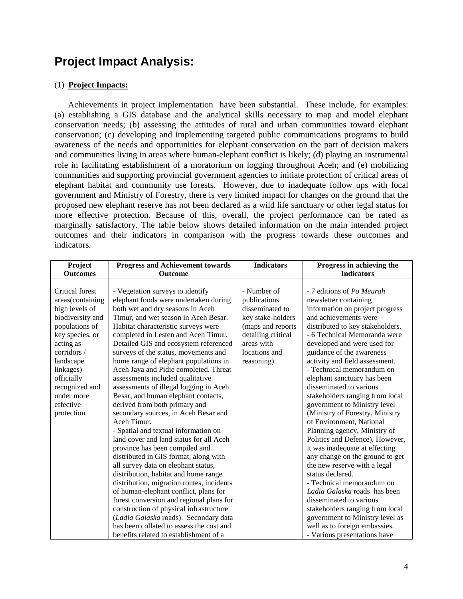# **Project Impact Analysis:**

### (1) **Project Impacts:**

Achievements in project implementation have been substantial. These include, for examples: (a) establishing a GIS database and the analytical skills necessary to map and model elephant conservation needs; (b) assessing the attitudes of rural and urban communities toward elephant conservation; (c) developing and implementing targeted public communications programs to build awareness of the needs and opportunities for elephant conservation on the part of decision makers and communities living in areas where human-elephant conflict is likely; (d) playing an instrumental role in facilitating establishment of a moratorium on logging throughout Aceh; and (e) mobilizing communities and supporting provincial government agencies to initiate protection of critical areas of elephant habitat and community use forests. However, due to inadequate follow ups with local government and Ministry of Forestry, there is very limited impact for changes on the ground that the proposed new elephant reserve has not been declared as a wild life sanctuary or other legal status for more effective protection. Because of this, overall, the project performance can be rated as marginally satisfactory. The table below shows detailed information on the main intended project outcomes and their indicators in comparison with the progress towards these outcomes and indicators.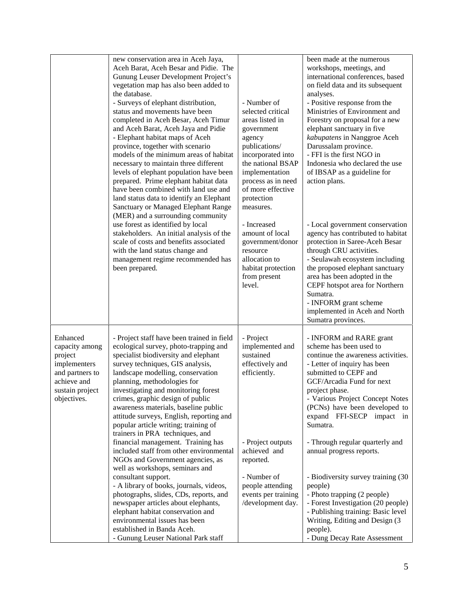|                                                                                                                           | new conservation area in Aceh Jaya,<br>Aceh Barat, Aceh Besar and Pidie. The<br>Gunung Leuser Development Project's<br>vegetation map has also been added to<br>the database.<br>- Surveys of elephant distribution,<br>status and movements have been<br>completed in Aceh Besar, Aceh Timur<br>and Aceh Barat, Aceh Jaya and Pidie<br>- Elephant habitat maps of Aceh<br>province, together with scenario<br>models of the minimum areas of habitat<br>necessary to maintain three different<br>levels of elephant population have been<br>prepared. Prime elephant habitat data<br>have been combined with land use and<br>land status data to identify an Elephant<br>Sanctuary or Managed Elephant Range<br>(MER) and a surrounding community | - Number of<br>selected critical<br>areas listed in<br>government<br>agency<br>publications/<br>incorporated into<br>the national BSAP<br>implementation<br>process as in need<br>of more effective<br>protection<br>measures. | been made at the numerous<br>workshops, meetings, and<br>international conferences, based<br>on field data and its subsequent<br>analyses.<br>- Positive response from the<br>Ministries of Environment and<br>Forestry on proposal for a new<br>elephant sanctuary in five<br>kabupatens in Nanggroe Aceh<br>Darussalam province.<br>- FFI is the first NGO in<br>Indonesia who declared the use<br>of IBSAP as a guideline for<br>action plans. |
|---------------------------------------------------------------------------------------------------------------------------|----------------------------------------------------------------------------------------------------------------------------------------------------------------------------------------------------------------------------------------------------------------------------------------------------------------------------------------------------------------------------------------------------------------------------------------------------------------------------------------------------------------------------------------------------------------------------------------------------------------------------------------------------------------------------------------------------------------------------------------------------|--------------------------------------------------------------------------------------------------------------------------------------------------------------------------------------------------------------------------------|---------------------------------------------------------------------------------------------------------------------------------------------------------------------------------------------------------------------------------------------------------------------------------------------------------------------------------------------------------------------------------------------------------------------------------------------------|
|                                                                                                                           | use forest as identified by local<br>stakeholders. An initial analysis of the<br>scale of costs and benefits associated<br>with the land status change and<br>management regime recommended has<br>been prepared.                                                                                                                                                                                                                                                                                                                                                                                                                                                                                                                                  | - Increased<br>amount of local<br>government/donor<br>resource<br>allocation to<br>habitat protection<br>from present<br>level.                                                                                                | - Local government conservation<br>agency has contributed to habitat<br>protection in Saree-Aceh Besar<br>through CRU activities.<br>- Seulawah ecosystem including<br>the proposed elephant sanctuary<br>area has been adopted in the<br>CEPF hotspot area for Northern<br>Sumatra.<br>- INFORM grant scheme<br>implemented in Aceh and North<br>Sumatra provinces.                                                                              |
| Enhanced<br>capacity among<br>project<br>implementers<br>and partners to<br>achieve and<br>sustain project<br>objectives. | - Project staff have been trained in field<br>ecological survey, photo-trapping and<br>specialist biodiversity and elephant<br>survey techniques, GIS analysis,<br>landscape modelling, conservation<br>planning, methodologies for<br>investigating and monitoring forest<br>crimes, graphic design of public<br>awareness materials, baseline public<br>attitude surveys, English, reporting and<br>popular article writing; training of<br>trainers in PRA techniques, and<br>financial management. Training has<br>included staff from other environmental<br>NGOs and Government agencies, as<br>well as workshops, seminars and                                                                                                              | - Project<br>implemented and<br>sustained<br>effectively and<br>efficiently.<br>- Project outputs<br>achieved and<br>reported.                                                                                                 | - INFORM and RARE grant<br>scheme has been used to<br>continue the awareness activities.<br>- Letter of inquiry has been<br>submitted to CEPF and<br>GCF/Arcadia Fund for next<br>project phase.<br>- Various Project Concept Notes<br>(PCNs) have been developed to<br>expand FFI-SECP impact in<br>Sumatra.<br>- Through regular quarterly and<br>annual progress reports.                                                                      |
|                                                                                                                           | consultant support.<br>- A library of books, journals, videos,<br>photographs, slides, CDs, reports, and<br>newspaper articles about elephants,<br>elephant habitat conservation and<br>environmental issues has been<br>established in Banda Aceh.<br>- Gunung Leuser National Park staff                                                                                                                                                                                                                                                                                                                                                                                                                                                         | - Number of<br>people attending<br>events per training<br>/development day.                                                                                                                                                    | - Biodiversity survey training (30<br>people)<br>- Photo trapping (2 people)<br>- Forest Investigation (20 people)<br>- Publishing training: Basic level<br>Writing, Editing and Design (3)<br>people).<br>- Dung Decay Rate Assessment                                                                                                                                                                                                           |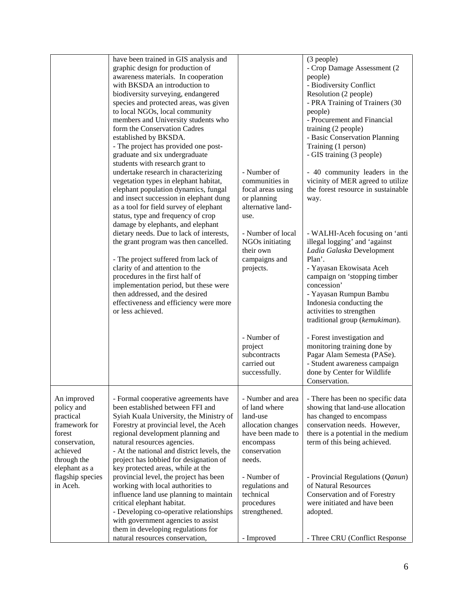|                                                                                                                                | have been trained in GIS analysis and<br>graphic design for production of<br>awareness materials. In cooperation<br>with BKSDA an introduction to<br>biodiversity surveying, endangered<br>species and protected areas, was given<br>to local NGOs, local community<br>members and University students who<br>form the Conservation Cadres<br>established by BKSDA.<br>- The project has provided one post-<br>graduate and six undergraduate<br>students with research grant to<br>undertake research in characterizing<br>vegetation types in elephant habitat,<br>elephant population dynamics, fungal<br>and insect succession in elephant dung<br>as a tool for field survey of elephant | - Number of<br>communities in<br>focal areas using<br>or planning<br>alternative land-                                            | (3 people)<br>- Crop Damage Assessment (2<br>people)<br>- Biodiversity Conflict<br>Resolution (2 people)<br>- PRA Training of Trainers (30<br>people)<br>- Procurement and Financial<br>training (2 people)<br>- Basic Conservation Planning<br>Training (1 person)<br>- GIS training (3 people)<br>- 40 community leaders in the<br>vicinity of MER agreed to utilize<br>the forest resource in sustainable<br>way. |
|--------------------------------------------------------------------------------------------------------------------------------|-----------------------------------------------------------------------------------------------------------------------------------------------------------------------------------------------------------------------------------------------------------------------------------------------------------------------------------------------------------------------------------------------------------------------------------------------------------------------------------------------------------------------------------------------------------------------------------------------------------------------------------------------------------------------------------------------|-----------------------------------------------------------------------------------------------------------------------------------|----------------------------------------------------------------------------------------------------------------------------------------------------------------------------------------------------------------------------------------------------------------------------------------------------------------------------------------------------------------------------------------------------------------------|
|                                                                                                                                | status, type and frequency of crop<br>damage by elephants, and elephant<br>dietary needs. Due to lack of interests,<br>the grant program was then cancelled.<br>- The project suffered from lack of<br>clarity of and attention to the<br>procedures in the first half of<br>implementation period, but these were<br>then addressed, and the desired<br>effectiveness and efficiency were more<br>or less achieved.                                                                                                                                                                                                                                                                          | use.<br>- Number of local<br>NGOs initiating<br>their own<br>campaigns and<br>projects.<br>- Number of<br>project<br>subcontracts | - WALHI-Aceh focusing on 'anti<br>illegal logging' and 'against<br>Ladia Galaska Development<br>Plan'.<br>- Yayasan Ekowisata Aceh<br>campaign on 'stopping timber<br>concession'<br>- Yayasan Rumpun Bambu<br>Indonesia conducting the<br>activities to strengthen<br>traditional group (kemukiman).<br>- Forest investigation and<br>monitoring training done by<br>Pagar Alam Semesta (PASe).                     |
|                                                                                                                                |                                                                                                                                                                                                                                                                                                                                                                                                                                                                                                                                                                                                                                                                                               | carried out<br>successfully.                                                                                                      | - Student awareness campaign<br>done by Center for Wildlife<br>Conservation.                                                                                                                                                                                                                                                                                                                                         |
| An improved<br>policy and<br>practical<br>framework for<br>forest<br>conservation,<br>achieved<br>through the<br>elephant as a | - Formal cooperative agreements have<br>been established between FFI and<br>Syiah Kuala University, the Ministry of<br>Forestry at provincial level, the Aceh<br>regional development planning and<br>natural resources agencies.<br>- At the national and district levels, the<br>project has lobbied for designation of<br>key protected areas, while at the                                                                                                                                                                                                                                                                                                                                | - Number and area<br>of land where<br>land-use<br>allocation changes<br>have been made to<br>encompass<br>conservation<br>needs.  | - There has been no specific data<br>showing that land-use allocation<br>has changed to encompass<br>conservation needs. However,<br>there is a potential in the medium<br>term of this being achieved.                                                                                                                                                                                                              |
| flagship species<br>in Aceh.                                                                                                   | provincial level, the project has been<br>working with local authorities to<br>influence land use planning to maintain<br>critical elephant habitat.<br>- Developing co-operative relationships<br>with government agencies to assist<br>them in developing regulations for<br>natural resources conservation,                                                                                                                                                                                                                                                                                                                                                                                | - Number of<br>regulations and<br>technical<br>procedures<br>strengthened.<br>- Improved                                          | - Provincial Regulations (Qanun)<br>of Natural Resources<br>Conservation and of Forestry<br>were initiated and have been<br>adopted.<br>- Three CRU (Conflict Response                                                                                                                                                                                                                                               |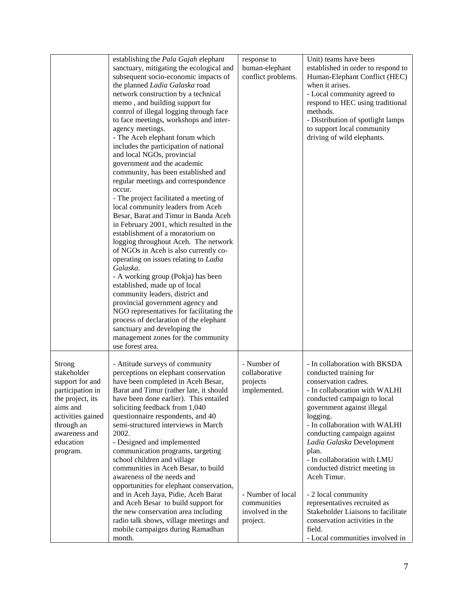|                                                                                                                                                                           | establishing the Pala Gajah elephant<br>sanctuary, mitigating the ecological and<br>subsequent socio-economic impacts of<br>the planned Ladia Galaska road<br>network construction by a technical<br>memo, and building support for<br>control of illegal logging through face<br>to face meetings, workshops and inter-<br>agency meetings.<br>- The Aceh elephant forum which<br>includes the participation of national<br>and local NGOs, provincial<br>government and the academic<br>community, has been established and<br>regular meetings and correspondence<br>occur.<br>- The project facilitated a meeting of<br>local community leaders from Aceh<br>Besar, Barat and Timur in Banda Aceh<br>in February 2001, which resulted in the<br>establishment of a moratorium on<br>logging throughout Aceh. The network<br>of NGOs in Aceh is also currently co-<br>operating on issues relating to Ladia<br>Galaska.<br>- A working group (Pokja) has been<br>established, made up of local<br>community leaders, district and<br>provincial government agency and<br>NGO representatives for facilitating the<br>process of declaration of the elephant<br>sanctuary and developing the<br>management zones for the community<br>use forest area. | response to<br>human-elephant<br>conflict problems.                                                                         | Unit) teams have been<br>established in order to respond to<br>Human-Elephant Conflict (HEC)<br>when it arises.<br>- Local community agreed to<br>respond to HEC using traditional<br>methods.<br>- Distribution of spotlight lamps<br>to support local community<br>driving of wild elephants.                                                                                                                                                                                                                                                            |
|---------------------------------------------------------------------------------------------------------------------------------------------------------------------------|----------------------------------------------------------------------------------------------------------------------------------------------------------------------------------------------------------------------------------------------------------------------------------------------------------------------------------------------------------------------------------------------------------------------------------------------------------------------------------------------------------------------------------------------------------------------------------------------------------------------------------------------------------------------------------------------------------------------------------------------------------------------------------------------------------------------------------------------------------------------------------------------------------------------------------------------------------------------------------------------------------------------------------------------------------------------------------------------------------------------------------------------------------------------------------------------------------------------------------------------------------|-----------------------------------------------------------------------------------------------------------------------------|------------------------------------------------------------------------------------------------------------------------------------------------------------------------------------------------------------------------------------------------------------------------------------------------------------------------------------------------------------------------------------------------------------------------------------------------------------------------------------------------------------------------------------------------------------|
| Strong<br>stakeholder<br>support for and<br>participation in<br>the project, its<br>aims and<br>activities gained<br>through an<br>awareness and<br>education<br>program. | - Attitude surveys of community<br>perceptions on elephant conservation<br>have been completed in Aceh Besar,<br>Barat and Timur (rather late, it should<br>have been done earlier). This entailed<br>soliciting feedback from 1,040<br>questionnaire respondents, and 40<br>semi-structured interviews in March<br>2002.<br>- Designed and implemented<br>communication programs, targeting<br>school children and village<br>communities in Aceh Besar, to build<br>awareness of the needs and<br>opportunities for elephant conservation,<br>and in Aceh Jaya, Pidie, Aceh Barat<br>and Aceh Besar to build support for<br>the new conservation area including<br>radio talk shows, village meetings and<br>mobile campaigns during Ramadhan<br>month.                                                                                                                                                                                                                                                                                                                                                                                                                                                                                                | - Number of<br>collaborative<br>projects<br>implemented.<br>- Number of local<br>communities<br>involved in the<br>project. | - In collaboration with BKSDA<br>conducted training for<br>conservation cadres.<br>- In collaboration with WALHI<br>conducted campaign to local<br>government against illegal<br>logging.<br>- In collaboration with WALHI<br>conducting campaign against<br>Ladia Galaska Development<br>plan.<br>- In collaboration with LMU<br>conducted district meeting in<br>Aceh Timur.<br>- 2 local community<br>representatives recruited as<br>Stakeholder Liaisons to facilitate<br>conservation activities in the<br>field.<br>- Local communities involved in |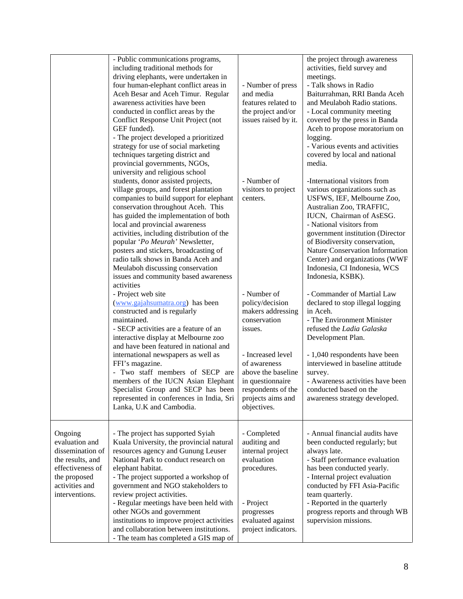|                                                                                                                                           | - Public communications programs,<br>including traditional methods for<br>driving elephants, were undertaken in<br>four human-elephant conflict areas in<br>Aceh Besar and Aceh Timur. Regular<br>awareness activities have been<br>conducted in conflict areas by the<br>Conflict Response Unit Project (not<br>GEF funded).<br>- The project developed a prioritized<br>strategy for use of social marketing<br>techniques targeting district and<br>provincial governments, NGOs,                                                | - Number of press<br>and media<br>features related to<br>the project and/or<br>issues raised by it.                                                 | the project through awareness<br>activities, field survey and<br>meetings.<br>- Talk shows in Radio<br>Baiturrahman, RRI Banda Aceh<br>and Meulaboh Radio stations.<br>- Local community meeting<br>covered by the press in Banda<br>Aceh to propose moratorium on<br>logging.<br>- Various events and activities<br>covered by local and national<br>media.                   |
|-------------------------------------------------------------------------------------------------------------------------------------------|-------------------------------------------------------------------------------------------------------------------------------------------------------------------------------------------------------------------------------------------------------------------------------------------------------------------------------------------------------------------------------------------------------------------------------------------------------------------------------------------------------------------------------------|-----------------------------------------------------------------------------------------------------------------------------------------------------|--------------------------------------------------------------------------------------------------------------------------------------------------------------------------------------------------------------------------------------------------------------------------------------------------------------------------------------------------------------------------------|
|                                                                                                                                           | university and religious school<br>students, donor assisted projects,<br>village groups, and forest plantation<br>companies to build support for elephant<br>conservation throughout Aceh. This<br>has guided the implementation of both<br>local and provincial awareness<br>activities, including distribution of the<br>popular 'Po Meurah' Newsletter,<br>posters and stickers, broadcasting of<br>radio talk shows in Banda Aceh and<br>Meulaboh discussing conservation<br>issues and community based awareness<br>activities | - Number of<br>visitors to project<br>centers.                                                                                                      | -International visitors from<br>various organizations such as<br>USFWS, IEF, Melbourne Zoo,<br>Australian Zoo, TRAFFIC,<br>IUCN, Chairman of AsESG.<br>- National visitors from<br>government institution (Director<br>of Biodiversity conservation,<br>Nature Conservation Information<br>Center) and organizations (WWF<br>Indonesia, CI Indonesia, WCS<br>Indonesia, KSBK). |
|                                                                                                                                           | - Project web site<br>(www.gajahsumatra.org) has been<br>constructed and is regularly<br>maintained.<br>- SECP activities are a feature of an<br>interactive display at Melbourne zoo<br>and have been featured in national and                                                                                                                                                                                                                                                                                                     | - Number of<br>policy/decision<br>makers addressing<br>conservation<br>issues.                                                                      | - Commander of Martial Law<br>declared to stop illegal logging<br>in Aceh.<br>- The Environment Minister<br>refused the Ladia Galaska<br>Development Plan.                                                                                                                                                                                                                     |
|                                                                                                                                           | international newspapers as well as<br>FFI's magazine.<br>- Two staff members of SECP are<br>members of the IUCN Asian Elephant<br>Specialist Group and SECP has been<br>represented in conferences in India, Sri<br>Lanka, U.K and Cambodia.                                                                                                                                                                                                                                                                                       | - Increased level<br>of awareness<br>above the baseline<br>in questionnaire<br>respondents of the<br>projects aims and<br>objectives.               | - 1,040 respondents have been<br>interviewed in baseline attitude<br>survey.<br>- Awareness activities have been<br>conducted based on the<br>awareness strategy developed.                                                                                                                                                                                                    |
| Ongoing<br>evaluation and<br>dissemination of<br>the results, and<br>effectiveness of<br>the proposed<br>activities and<br>interventions. | - The project has supported Syiah<br>Kuala University, the provincial natural<br>resources agency and Gunung Leuser<br>National Park to conduct research on<br>elephant habitat.<br>- The project supported a workshop of<br>government and NGO stakeholders to<br>review project activities.<br>- Regular meetings have been held with<br>other NGOs and government<br>institutions to improve project activities<br>and collaboration between institutions.<br>- The team has completed a GIS map of                              | - Completed<br>auditing and<br>internal project<br>evaluation<br>procedures.<br>- Project<br>progresses<br>evaluated against<br>project indicators. | - Annual financial audits have<br>been conducted regularly; but<br>always late.<br>- Staff performance evaluation<br>has been conducted yearly.<br>- Internal project evaluation<br>conducted by FFI Asia-Pacific<br>team quarterly.<br>- Reported in the quarterly<br>progress reports and through WB<br>supervision missions.                                                |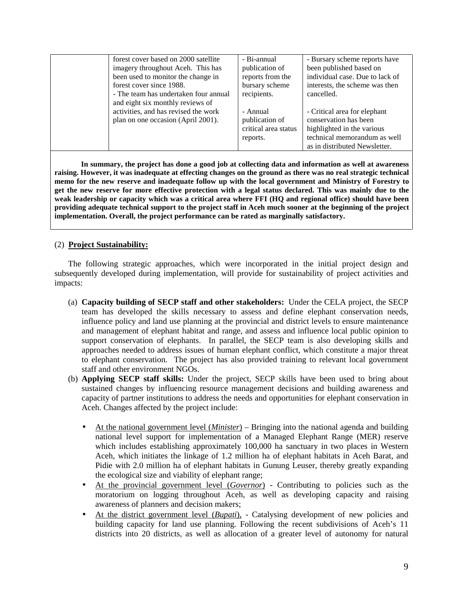| forest cover based on 2000 satellite                                      | - Bi-annual                      | - Bursary scheme reports have                              |
|---------------------------------------------------------------------------|----------------------------------|------------------------------------------------------------|
| imagery throughout Aceh. This has                                         | publication of                   | been published based on                                    |
| been used to monitor the change in                                        | reports from the                 | individual case. Due to lack of                            |
| forest cover since 1988.                                                  | bursary scheme                   | interests, the scheme was then                             |
| - The team has undertaken four annual<br>and eight six monthly reviews of | recipients.                      | cancelled.                                                 |
| activities, and has revised the work                                      | - Annual                         | - Critical area for elephant                               |
| plan on one occasion (April 2001).                                        | publication of                   | conservation has been                                      |
|                                                                           | critical area status<br>reports. | highlighted in the various<br>technical memorandum as well |
|                                                                           |                                  |                                                            |

**In summary, the project has done a good job at collecting data and information as well at awareness raising. However, it was inadequate at effecting changes on the ground as there was no real strategic technical memo for the new reserve and inadequate follow up with the local government and Ministry of Forestry to get the new reserve for more effective protection with a legal status declared. This was mainly due to the weak leadership or capacity which was a critical area where FFI (HQ and regional office) should have been providing adequate technical support to the project staff in Aceh much sooner at the beginning of the project implementation. Overall, the project performance can be rated as marginally satisfactory.**

#### (2) **Project Sustainability:**

The following strategic approaches, which were incorporated in the initial project design and subsequently developed during implementation, will provide for sustainability of project activities and impacts:

- (a) **Capacity building of SECP staff and other stakeholders:** Under the CELA project, the SECP team has developed the skills necessary to assess and define elephant conservation needs, influence policy and land use planning at the provincial and district levels to ensure maintenance and management of elephant habitat and range, and assess and influence local public opinion to support conservation of elephants. In parallel, the SECP team is also developing skills and approaches needed to address issues of human elephant conflict, which constitute a major threat to elephant conservation. The project has also provided training to relevant local government staff and other environment NGOs.
- (b) **Applying SECP staff skills:** Under the project, SECP skills have been used to bring about sustained changes by influencing resource management decisions and building awareness and capacity of partner institutions to address the needs and opportunities for elephant conservation in Aceh. Changes affected by the project include:
	- At the national government level (*Minister*) Bringing into the national agenda and building national level support for implementation of a Managed Elephant Range (MER) reserve which includes establishing approximately 100,000 ha sanctuary in two places in Western Aceh, which initiates the linkage of 1.2 million ha of elephant habitats in Aceh Barat, and Pidie with 2.0 million ha of elephant habitats in Gunung Leuser, thereby greatly expanding the ecological size and viability of elephant range;
	- At the provincial government level (*Governor*) Contributing to policies such as the moratorium on logging throughout Aceh, as well as developing capacity and raising awareness of planners and decision makers;
	- At the district government level (*Bupati*), Catalysing development of new policies and building capacity for land use planning. Following the recent subdivisions of Aceh's 11 districts into 20 districts, as well as allocation of a greater level of autonomy for natural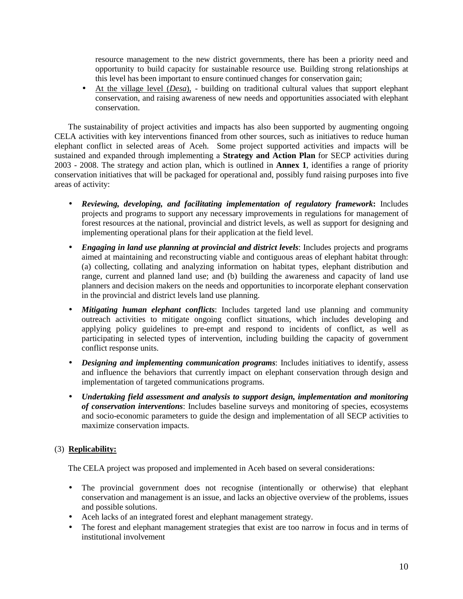resource management to the new district governments, there has been a priority need and opportunity to build capacity for sustainable resource use. Building strong relationships at this level has been important to ensure continued changes for conservation gain;

• At the village level (*Desa*), - building on traditional cultural values that support elephant conservation, and raising awareness of new needs and opportunities associated with elephant conservation.

The sustainability of project activities and impacts has also been supported by augmenting ongoing CELA activities with key interventions financed from other sources, such as initiatives to reduce human elephant conflict in selected areas of Aceh. Some project supported activities and impacts will be sustained and expanded through implementing a **Strategy and Action Plan** for SECP activities during 2003 - 2008. The strategy and action plan, which is outlined in **Annex 1**, identifies a range of priority conservation initiatives that will be packaged for operational and, possibly fund raising purposes into five areas of activity:

- *Reviewing, developing, and facilitating implementation of regulatory framework***:** Includes projects and programs to support any necessary improvements in regulations for management of forest resources at the national, provincial and district levels, as well as support for designing and implementing operational plans for their application at the field level.
- *Engaging in land use planning at provincial and district levels:* Includes projects and programs aimed at maintaining and reconstructing viable and contiguous areas of elephant habitat through: (a) collecting, collating and analyzing information on habitat types, elephant distribution and range, current and planned land use; and (b) building the awareness and capacity of land use planners and decision makers on the needs and opportunities to incorporate elephant conservation in the provincial and district levels land use planning.
- *Mitigating human elephant conflicts*: Includes targeted land use planning and community outreach activities to mitigate ongoing conflict situations, which includes developing and applying policy guidelines to pre-empt and respond to incidents of conflict, as well as participating in selected types of intervention, including building the capacity of government conflict response units.
- *Designing and implementing communication programs*: Includes initiatives to identify, assess and influence the behaviors that currently impact on elephant conservation through design and implementation of targeted communications programs.
- *Undertaking field assessment and analysis to support design, implementation and monitoring of conservation interventions*: Includes baseline surveys and monitoring of species, ecosystems and socio-economic parameters to guide the design and implementation of all SECP activities to maximize conservation impacts.

### (3) **Replicability:**

The CELA project was proposed and implemented in Aceh based on several considerations:

- The provincial government does not recognise (intentionally or otherwise) that elephant conservation and management is an issue, and lacks an objective overview of the problems, issues and possible solutions.
- Aceh lacks of an integrated forest and elephant management strategy.
- The forest and elephant management strategies that exist are too narrow in focus and in terms of institutional involvement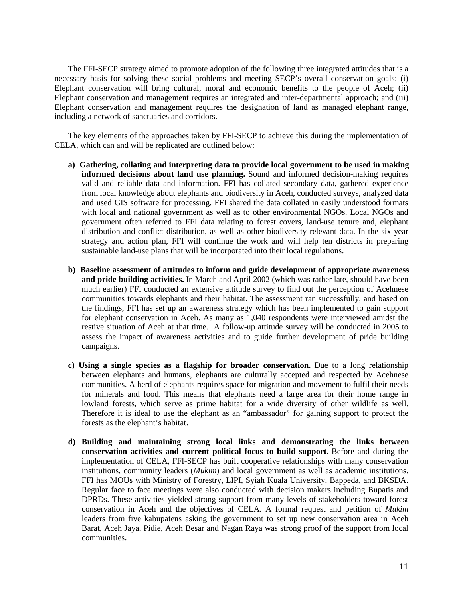The FFI-SECP strategy aimed to promote adoption of the following three integrated attitudes that is a necessary basis for solving these social problems and meeting SECP's overall conservation goals: (i) Elephant conservation will bring cultural, moral and economic benefits to the people of Aceh; (ii) Elephant conservation and management requires an integrated and inter-departmental approach; and (iii) Elephant conservation and management requires the designation of land as managed elephant range, including a network of sanctuaries and corridors.

The key elements of the approaches taken by FFI-SECP to achieve this during the implementation of CELA, which can and will be replicated are outlined below:

- **a) Gathering, collating and interpreting data to provide local government to be used in making informed decisions about land use planning.** Sound and informed decision-making requires valid and reliable data and information. FFI has collated secondary data, gathered experience from local knowledge about elephants and biodiversity in Aceh, conducted surveys, analyzed data and used GIS software for processing. FFI shared the data collated in easily understood formats with local and national government as well as to other environmental NGOs. Local NGOs and government often referred to FFI data relating to forest covers, land-use tenure and, elephant distribution and conflict distribution, as well as other biodiversity relevant data. In the six year strategy and action plan, FFI will continue the work and will help ten districts in preparing sustainable land-use plans that will be incorporated into their local regulations.
- **b) Baseline assessment of attitudes to inform and guide development of appropriate awareness and pride building activities.** In March and April 2002 (which was rather late, should have been much earlier) FFI conducted an extensive attitude survey to find out the perception of Acehnese communities towards elephants and their habitat. The assessment ran successfully, and based on the findings, FFI has set up an awareness strategy which has been implemented to gain support for elephant conservation in Aceh. As many as 1,040 respondents were interviewed amidst the restive situation of Aceh at that time. A follow-up attitude survey will be conducted in 2005 to assess the impact of awareness activities and to guide further development of pride building campaigns.
- **c) Using a single species as a flagship for broader conservation.** Due to a long relationship between elephants and humans, elephants are culturally accepted and respected by Acehnese communities. A herd of elephants requires space for migration and movement to fulfil their needs for minerals and food. This means that elephants need a large area for their home range in lowland forests, which serve as prime habitat for a wide diversity of other wildlife as well. Therefore it is ideal to use the elephant as an "ambassador" for gaining support to protect the forests as the elephant's habitat.
- **d) Building and maintaining strong local links and demonstrating the links between conservation activities and current political focus to build support.** Before and during the implementation of CELA, FFI-SECP has built cooperative relationships with many conservation institutions, community leaders (*Mukim*) and local government as well as academic institutions. FFI has MOUs with Ministry of Forestry, LIPI, Syiah Kuala University, Bappeda, and BKSDA. Regular face to face meetings were also conducted with decision makers including Bupatis and DPRDs. These activities yielded strong support from many levels of stakeholders toward forest conservation in Aceh and the objectives of CELA. A formal request and petition of *Mukim* leaders from five kabupatens asking the government to set up new conservation area in Aceh Barat, Aceh Jaya, Pidie, Aceh Besar and Nagan Raya was strong proof of the support from local communities.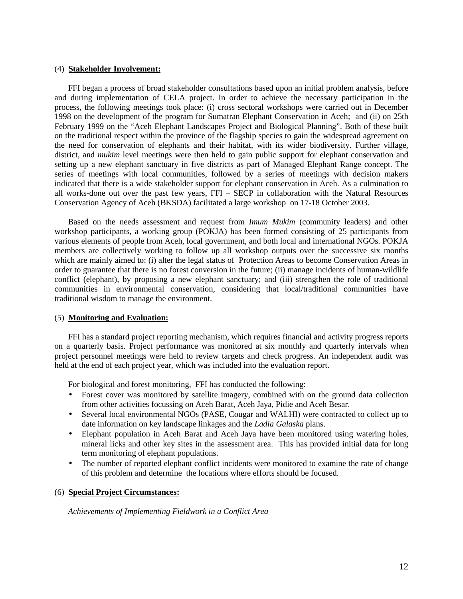#### (4) **Stakeholder Involvement:**

FFI began a process of broad stakeholder consultations based upon an initial problem analysis, before and during implementation of CELA project. In order to achieve the necessary participation in the process, the following meetings took place: (i) cross sectoral workshops were carried out in December 1998 on the development of the program for Sumatran Elephant Conservation in Aceh; and (ii) on 25th February 1999 on the "Aceh Elephant Landscapes Project and Biological Planning". Both of these built on the traditional respect within the province of the flagship species to gain the widespread agreement on the need for conservation of elephants and their habitat, with its wider biodiversity. Further village, district, and *mukim* level meetings were then held to gain public support for elephant conservation and setting up a new elephant sanctuary in five districts as part of Managed Elephant Range concept. The series of meetings with local communities, followed by a series of meetings with decision makers indicated that there is a wide stakeholder support for elephant conservation in Aceh. As a culmination to all works-done out over the past few years, FFI – SECP in collaboration with the Natural Resources Conservation Agency of Aceh (BKSDA) facilitated a large workshop on 17-18 October 2003.

Based on the needs assessment and request from *Imum Mukim* (community leaders) and other workshop participants, a working group (POKJA) has been formed consisting of 25 participants from various elements of people from Aceh, local government, and both local and international NGOs. POKJA members are collectively working to follow up all workshop outputs over the successive six months which are mainly aimed to: (i) alter the legal status of Protection Areas to become Conservation Areas in order to guarantee that there is no forest conversion in the future; (ii) manage incidents of human-wildlife conflict (elephant), by proposing a new elephant sanctuary; and (iii) strengthen the role of traditional communities in environmental conservation, considering that local/traditional communities have traditional wisdom to manage the environment.

#### (5) **Monitoring and Evaluation:**

FFI has a standard project reporting mechanism, which requires financial and activity progress reports on a quarterly basis. Project performance was monitored at six monthly and quarterly intervals when project personnel meetings were held to review targets and check progress. An independent audit was held at the end of each project year, which was included into the evaluation report.

For biological and forest monitoring, FFI has conducted the following:

- Forest cover was monitored by satellite imagery, combined with on the ground data collection from other activities focussing on Aceh Barat, Aceh Jaya, Pidie and Aceh Besar.
- Several local environmental NGOs (PASE, Cougar and WALHI) were contracted to collect up to date information on key landscape linkages and the *Ladia Galaska* plans.
- Elephant population in Aceh Barat and Aceh Jaya have been monitored using watering holes, mineral licks and other key sites in the assessment area. This has provided initial data for long term monitoring of elephant populations.
- The number of reported elephant conflict incidents were monitored to examine the rate of change of this problem and determine the locations where efforts should be focused.

#### (6) **Special Project Circumstances:**

*Achievements of Implementing Fieldwork in a Conflict Area*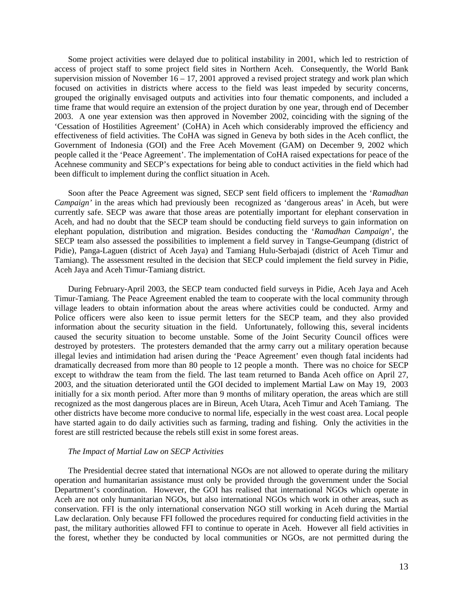Some project activities were delayed due to political instability in 2001, which led to restriction of access of project staff to some project field sites in Northern Aceh. Consequently, the World Bank supervision mission of November  $16 - 17$ , 2001 approved a revised project strategy and work plan which focused on activities in districts where access to the field was least impeded by security concerns, grouped the originally envisaged outputs and activities into four thematic components, and included a time frame that would require an extension of the project duration by one year, through end of December 2003. A one year extension was then approved in November 2002, coinciding with the signing of the 'Cessation of Hostilities Agreement' (CoHA) in Aceh which considerably improved the efficiency and effectiveness of field activities. The CoHA was signed in Geneva by both sides in the Aceh conflict, the Government of Indonesia (GOI) and the Free Aceh Movement (GAM) on December 9, 2002 which people called it the 'Peace Agreement'. The implementation of CoHA raised expectations for peace of the Acehnese community and SECP's expectations for being able to conduct activities in the field which had been difficult to implement during the conflict situation in Aceh.

Soon after the Peace Agreement was signed, SECP sent field officers to implement the '*Ramadhan Campaign'* in the areas which had previously been recognized as 'dangerous areas' in Aceh, but were currently safe. SECP was aware that those areas are potentially important for elephant conservation in Aceh, and had no doubt that the SECP team should be conducting field surveys to gain information on elephant population, distribution and migration. Besides conducting the '*Ramadhan Campaign*', the SECP team also assessed the possibilities to implement a field survey in Tangse-Geumpang (district of Pidie), Panga-Laguen (district of Aceh Jaya) and Tamiang Hulu-Serbajadi (district of Aceh Timur and Tamiang). The assessment resulted in the decision that SECP could implement the field survey in Pidie, Aceh Jaya and Aceh Timur-Tamiang district.

During February-April 2003, the SECP team conducted field surveys in Pidie, Aceh Jaya and Aceh Timur-Tamiang. The Peace Agreement enabled the team to cooperate with the local community through village leaders to obtain information about the areas where activities could be conducted. Army and Police officers were also keen to issue permit letters for the SECP team, and they also provided information about the security situation in the field. Unfortunately, following this, several incidents caused the security situation to become unstable. Some of the Joint Security Council offices were destroyed by protesters. The protesters demanded that the army carry out a military operation because illegal levies and intimidation had arisen during the 'Peace Agreement' even though fatal incidents had dramatically decreased from more than 80 people to 12 people a month. There was no choice for SECP except to withdraw the team from the field. The last team returned to Banda Aceh office on April 27, 2003, and the situation deteriorated until the GOI decided to implement Martial Law on May 19, 2003 initially for a six month period. After more than 9 months of military operation, the areas which are still recognized as the most dangerous places are in Bireun, Aceh Utara, Aceh Timur and Aceh Tamiang. The other districts have become more conducive to normal life, especially in the west coast area. Local people have started again to do daily activities such as farming, trading and fishing. Only the activities in the forest are still restricted because the rebels still exist in some forest areas.

#### *The Impact of Martial Law on SECP Activities*

The Presidential decree stated that international NGOs are not allowed to operate during the military operation and humanitarian assistance must only be provided through the government under the Social Department's coordination. However, the GOI has realised that international NGOs which operate in Aceh are not only humanitarian NGOs, but also international NGOs which work in other areas, such as conservation. FFI is the only international conservation NGO still working in Aceh during the Martial Law declaration. Only because FFI followed the procedures required for conducting field activities in the past, the military authorities allowed FFI to continue to operate in Aceh. However all field activities in the forest, whether they be conducted by local communities or NGOs, are not permitted during the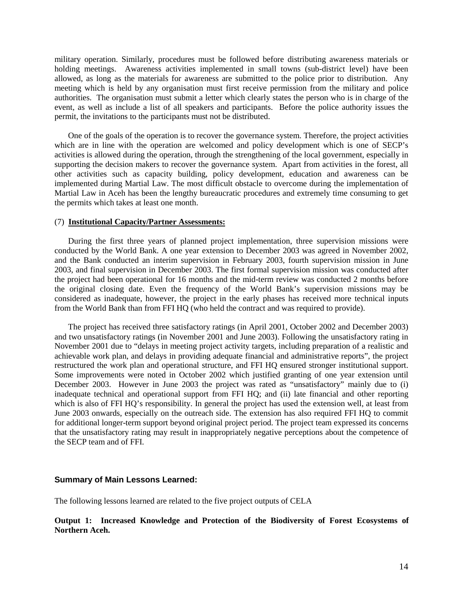military operation. Similarly, procedures must be followed before distributing awareness materials or holding meetings. Awareness activities implemented in small towns (sub-district level) have been allowed, as long as the materials for awareness are submitted to the police prior to distribution. Any meeting which is held by any organisation must first receive permission from the military and police authorities. The organisation must submit a letter which clearly states the person who is in charge of the event, as well as include a list of all speakers and participants. Before the police authority issues the permit, the invitations to the participants must not be distributed.

One of the goals of the operation is to recover the governance system. Therefore, the project activities which are in line with the operation are welcomed and policy development which is one of SECP's activities is allowed during the operation, through the strengthening of the local government, especially in supporting the decision makers to recover the governance system. Apart from activities in the forest, all other activities such as capacity building, policy development, education and awareness can be implemented during Martial Law. The most difficult obstacle to overcome during the implementation of Martial Law in Aceh has been the lengthy bureaucratic procedures and extremely time consuming to get the permits which takes at least one month.

#### (7) **Institutional Capacity/Partner Assessments:**

During the first three years of planned project implementation, three supervision missions were conducted by the World Bank. A one year extension to December 2003 was agreed in November 2002, and the Bank conducted an interim supervision in February 2003, fourth supervision mission in June 2003, and final supervision in December 2003. The first formal supervision mission was conducted after the project had been operational for 16 months and the mid-term review was conducted 2 months before the original closing date. Even the frequency of the World Bank's supervision missions may be considered as inadequate, however, the project in the early phases has received more technical inputs from the World Bank than from FFI HQ (who held the contract and was required to provide).

The project has received three satisfactory ratings (in April 2001, October 2002 and December 2003) and two unsatisfactory ratings (in November 2001 and June 2003). Following the unsatisfactory rating in November 2001 due to "delays in meeting project activity targets, including preparation of a realistic and achievable work plan, and delays in providing adequate financial and administrative reports", the project restructured the work plan and operational structure, and FFI HQ ensured stronger institutional support. Some improvements were noted in October 2002 which justified granting of one year extension until December 2003. However in June 2003 the project was rated as "unsatisfactory" mainly due to (i) inadequate technical and operational support from FFI HQ; and (ii) late financial and other reporting which is also of FFI HQ's responsibility. In general the project has used the extension well, at least from June 2003 onwards, especially on the outreach side. The extension has also required FFI HQ to commit for additional longer-term support beyond original project period. The project team expressed its concerns that the unsatisfactory rating may result in inappropriately negative perceptions about the competence of the SECP team and of FFI.

#### **Summary of Main Lessons Learned:**

The following lessons learned are related to the five project outputs of CELA

**Output 1: Increased Knowledge and Protection of the Biodiversity of Forest Ecosystems of Northern Aceh.**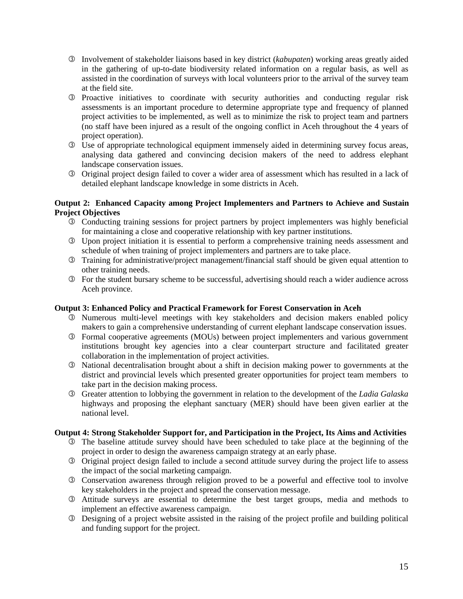- É Involvement of stakeholder liaisons based in key district (*kabupaten*) working areas greatly aided in the gathering of up-to-date biodiversity related information on a regular basis, as well as assisted in the coordination of surveys with local volunteers prior to the arrival of the survey team at the field site.
- É Proactive initiatives to coordinate with security authorities and conducting regular risk assessments is an important procedure to determine appropriate type and frequency of planned project activities to be implemented, as well as to minimize the risk to project team and partners (no staff have been injured as a result of the ongoing conflict in Aceh throughout the 4 years of project operation).
- É Use of appropriate technological equipment immensely aided in determining survey focus areas, analysing data gathered and convincing decision makers of the need to address elephant landscape conservation issues.
- É Original project design failed to cover a wider area of assessment which has resulted in a lack of detailed elephant landscape knowledge in some districts in Aceh.

#### **Output 2: Enhanced Capacity among Project Implementers and Partners to Achieve and Sustain Project Objectives**

- É Conducting training sessions for project partners by project implementers was highly beneficial for maintaining a close and cooperative relationship with key partner institutions.
- É Upon project initiation it is essential to perform a comprehensive training needs assessment and schedule of when training of project implementers and partners are to take place.
- É Training for administrative/project management/financial staff should be given equal attention to other training needs.
- É For the student bursary scheme to be successful, advertising should reach a wider audience across Aceh province.

#### **Output 3: Enhanced Policy and Practical Framework for Forest Conservation in Aceh**

- É Numerous multi-level meetings with key stakeholders and decision makers enabled policy makers to gain a comprehensive understanding of current elephant landscape conservation issues.
- É Formal cooperative agreements (MOUs) between project implementers and various government institutions brought key agencies into a clear counterpart structure and facilitated greater collaboration in the implementation of project activities.
- É National decentralisation brought about a shift in decision making power to governments at the district and provincial levels which presented greater opportunities for project team members to take part in the decision making process.
- É Greater attention to lobbying the government in relation to the development of the *Ladia Galaska* highways and proposing the elephant sanctuary (MER) should have been given earlier at the national level.

#### **Output 4: Strong Stakeholder Support for, and Participation in the Project, Its Aims and Activities**

- É The baseline attitude survey should have been scheduled to take place at the beginning of the project in order to design the awareness campaign strategy at an early phase.
- É Original project design failed to include a second attitude survey during the project life to assess the impact of the social marketing campaign.
- É Conservation awareness through religion proved to be a powerful and effective tool to involve key stakeholders in the project and spread the conservation message.
- É Attitude surveys are essential to determine the best target groups, media and methods to implement an effective awareness campaign.
- É Designing of a project website assisted in the raising of the project profile and building political and funding support for the project.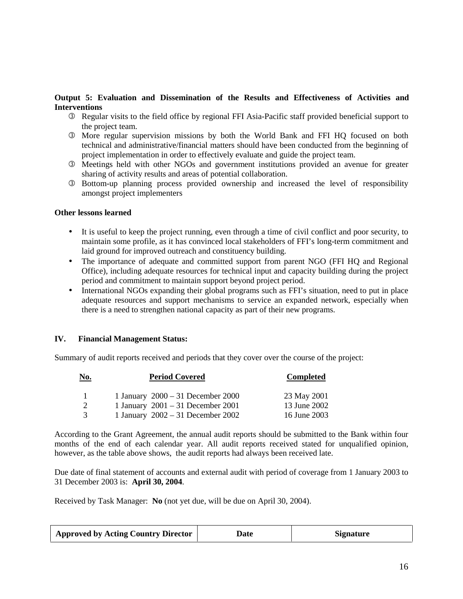#### **Output 5: Evaluation and Dissemination of the Results and Effectiveness of Activities and Interventions**

- É Regular visits to the field office by regional FFI Asia-Pacific staff provided beneficial support to the project team.
- É More regular supervision missions by both the World Bank and FFI HQ focused on both technical and administrative/financial matters should have been conducted from the beginning of project implementation in order to effectively evaluate and guide the project team.
- É Meetings held with other NGOs and government institutions provided an avenue for greater sharing of activity results and areas of potential collaboration.
- É Bottom-up planning process provided ownership and increased the level of responsibility amongst project implementers

#### **Other lessons learned**

- It is useful to keep the project running, even through a time of civil conflict and poor security, to maintain some profile, as it has convinced local stakeholders of FFI's long-term commitment and laid ground for improved outreach and constituency building.
- The importance of adequate and committed support from parent NGO (FFI HQ and Regional Office), including adequate resources for technical input and capacity building during the project period and commitment to maintain support beyond project period.
- International NGOs expanding their global programs such as FFI's situation, need to put in place adequate resources and support mechanisms to service an expanded network, especially when there is a need to strengthen national capacity as part of their new programs.

#### **IV. Financial Management Status:**

Summary of audit reports received and periods that they cover over the course of the project:

| <u>No.</u>    | <b>Period Covered</b>               | <b>Completed</b> |
|---------------|-------------------------------------|------------------|
|               | 1 January $2000 - 31$ December 2000 | 23 May 2001      |
|               | 1 January $2001 - 31$ December 2001 | 13 June 2002     |
| $\mathcal{R}$ | 1 January $2002 - 31$ December 2002 | 16 June 2003     |

According to the Grant Agreement, the annual audit reports should be submitted to the Bank within four months of the end of each calendar year. All audit reports received stated for unqualified opinion, however, as the table above shows, the audit reports had always been received late.

Due date of final statement of accounts and external audit with period of coverage from 1 January 2003 to 31 December 2003 is: **April 30, 2004**.

Received by Task Manager: **No** (not yet due, will be due on April 30, 2004).

| <b>Approved by Acting Country Director</b> | Date | <b>Signature</b> |
|--------------------------------------------|------|------------------|
|                                            |      |                  |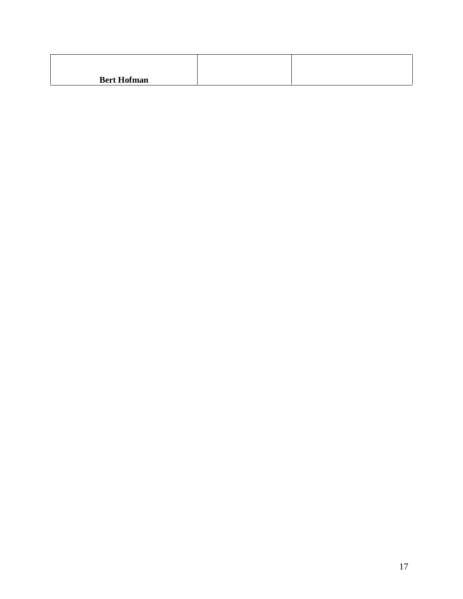| <b>Bert Hofman</b> |  |
|--------------------|--|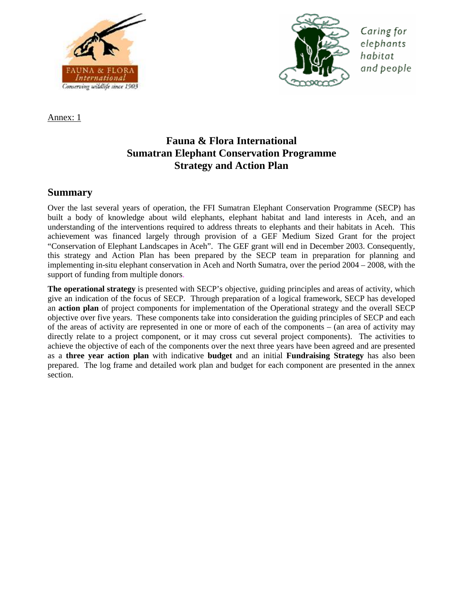



Caring for elephants habitat and people

Annex: 1

# **Fauna & Flora International Sumatran Elephant Conservation Programme Strategy and Action Plan**

## **Summary**

Over the last several years of operation, the FFI Sumatran Elephant Conservation Programme (SECP) has built a body of knowledge about wild elephants, elephant habitat and land interests in Aceh, and an understanding of the interventions required to address threats to elephants and their habitats in Aceh. This achievement was financed largely through provision of a GEF Medium Sized Grant for the project "Conservation of Elephant Landscapes in Aceh". The GEF grant will end in December 2003. Consequently, this strategy and Action Plan has been prepared by the SECP team in preparation for planning and implementing in-situ elephant conservation in Aceh and North Sumatra, over the period 2004 – 2008, with the support of funding from multiple donors.

**The operational strategy** is presented with SECP's objective, guiding principles and areas of activity, which give an indication of the focus of SECP. Through preparation of a logical framework, SECP has developed an **action plan** of project components for implementation of the Operational strategy and the overall SECP objective over five years. These components take into consideration the guiding principles of SECP and each of the areas of activity are represented in one or more of each of the components – (an area of activity may directly relate to a project component, or it may cross cut several project components). The activities to achieve the objective of each of the components over the next three years have been agreed and are presented as a **three year action plan** with indicative **budget** and an initial **Fundraising Strategy** has also been prepared. The log frame and detailed work plan and budget for each component are presented in the annex section.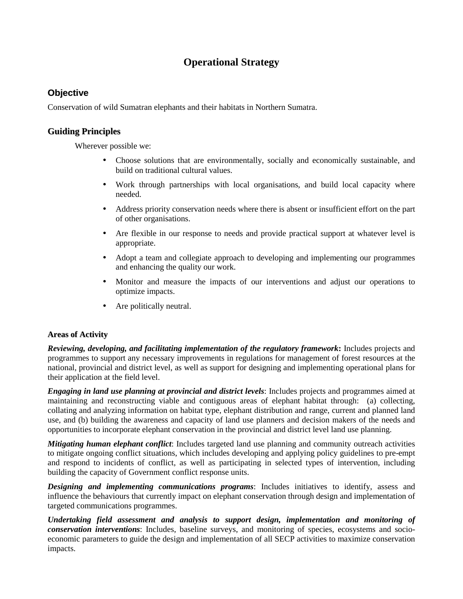# **Operational Strategy**

## **Objective**

Conservation of wild Sumatran elephants and their habitats in Northern Sumatra.

### **Guiding Principles**

Wherever possible we:

- Choose solutions that are environmentally, socially and economically sustainable, and build on traditional cultural values.
- Work through partnerships with local organisations, and build local capacity where needed.
- Address priority conservation needs where there is absent or insufficient effort on the part of other organisations.
- Are flexible in our response to needs and provide practical support at whatever level is appropriate.
- Adopt a team and collegiate approach to developing and implementing our programmes and enhancing the quality our work.
- Monitor and measure the impacts of our interventions and adjust our operations to optimize impacts.
- Are politically neutral.

#### **Areas of Activity**

*Reviewing, developing, and facilitating implementation of the regulatory framework***:** Includes projects and programmes to support any necessary improvements in regulations for management of forest resources at the national, provincial and district level, as well as support for designing and implementing operational plans for their application at the field level.

*Engaging in land use planning at provincial and district levels*: Includes projects and programmes aimed at maintaining and reconstructing viable and contiguous areas of elephant habitat through: (a) collecting, collating and analyzing information on habitat type, elephant distribution and range, current and planned land use, and (b) building the awareness and capacity of land use planners and decision makers of the needs and opportunities to incorporate elephant conservation in the provincial and district level land use planning.

*Mitigating human elephant conflict*: Includes targeted land use planning and community outreach activities to mitigate ongoing conflict situations, which includes developing and applying policy guidelines to pre-empt and respond to incidents of conflict, as well as participating in selected types of intervention, including building the capacity of Government conflict response units.

*Designing and implementing communications programs*: Includes initiatives to identify, assess and influence the behaviours that currently impact on elephant conservation through design and implementation of targeted communications programmes.

*Undertaking field assessment and analysis to support design, implementation and monitoring of conservation interventions*: Includes, baseline surveys, and monitoring of species, ecosystems and socioeconomic parameters to guide the design and implementation of all SECP activities to maximize conservation impacts.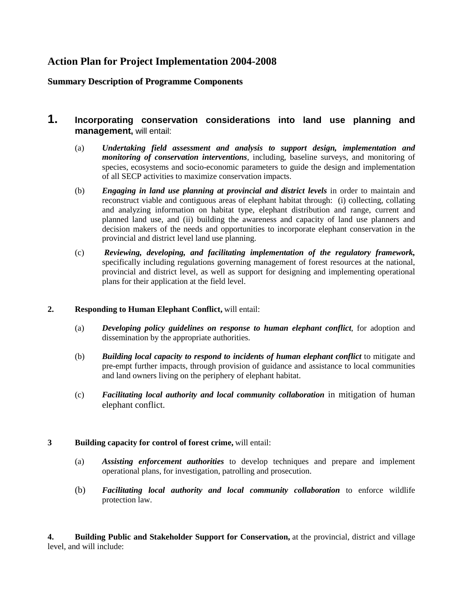## **Action Plan for Project Implementation 2004-2008**

## **Summary Description of Programme Components**

## **1. Incorporating conservation considerations into land use planning and management,** will entail:

- (a) *Undertaking field assessment and analysis to support design, implementation and monitoring of conservation interventions*, including, baseline surveys, and monitoring of species, ecosystems and socio-economic parameters to guide the design and implementation of all SECP activities to maximize conservation impacts.
- (b) *Engaging in land use planning at provincial and district levels* in order to maintain and reconstruct viable and contiguous areas of elephant habitat through: (i) collecting, collating and analyzing information on habitat type, elephant distribution and range, current and planned land use, and (ii) building the awareness and capacity of land use planners and decision makers of the needs and opportunities to incorporate elephant conservation in the provincial and district level land use planning.
- (c) *Reviewing, developing, and facilitating implementation of the regulatory framework,* specifically including regulations governing management of forest resources at the national, provincial and district level, as well as support for designing and implementing operational plans for their application at the field level.

#### **2. Responding to Human Elephant Conflict,** will entail:

- (a) *Developing policy guidelines on response to human elephant conflict*, for adoption and dissemination by the appropriate authorities.
- (b) *Building local capacity to respond to incidents of human elephant conflict* to mitigate and pre-empt further impacts, through provision of guidance and assistance to local communities and land owners living on the periphery of elephant habitat.
- (c) *Facilitating local authority and local community collaboration* in mitigation of human elephant conflict.

### **3 Building capacity for control of forest crime,** will entail:

- (a) *Assisting enforcement authorities* to develop techniques and prepare and implement operational plans, for investigation, patrolling and prosecution.
- (b) *Facilitating local authority and local community collaboration* to enforce wildlife protection law.

**4. Building Public and Stakeholder Support for Conservation,** at the provincial, district and village level, and will include: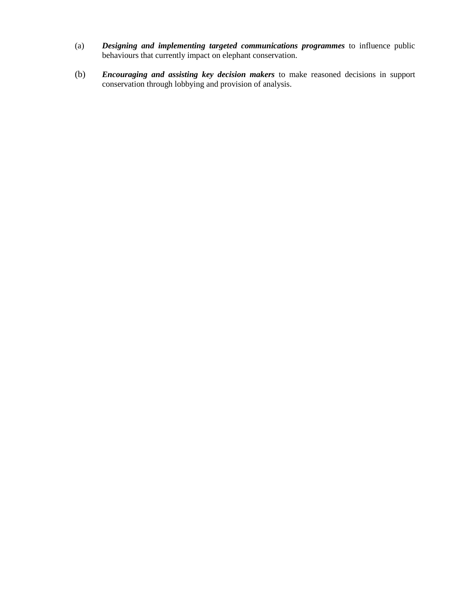- (a) *Designing and implementing targeted communications programmes* to influence public behaviours that currently impact on elephant conservation.
- (b) *Encouraging and assisting key decision makers* to make reasoned decisions in support conservation through lobbying and provision of analysis.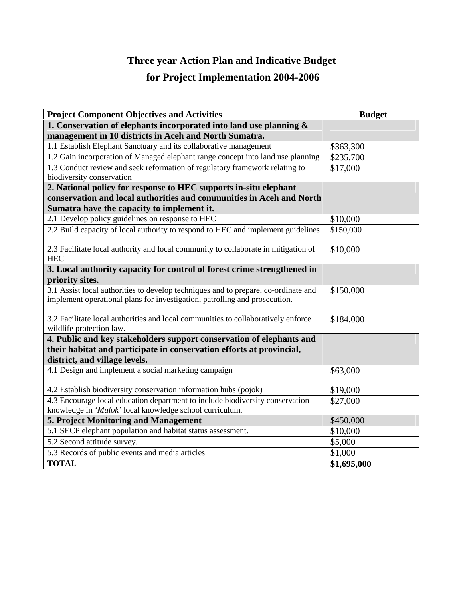# **Three year Action Plan and Indicative Budget**

# **for Project Implementation 2004-2006**

| <b>Project Component Objectives and Activities</b>                                                                                                               | <b>Budget</b> |
|------------------------------------------------------------------------------------------------------------------------------------------------------------------|---------------|
| 1. Conservation of elephants incorporated into land use planning $\&$                                                                                            |               |
| management in 10 districts in Aceh and North Sumatra.                                                                                                            |               |
| 1.1 Establish Elephant Sanctuary and its collaborative management                                                                                                | \$363,300     |
| 1.2 Gain incorporation of Managed elephant range concept into land use planning                                                                                  | \$235,700     |
| 1.3 Conduct review and seek reformation of regulatory framework relating to<br>biodiversity conservation                                                         | \$17,000      |
| 2. National policy for response to HEC supports in-situ elephant                                                                                                 |               |
| conservation and local authorities and communities in Aceh and North                                                                                             |               |
| Sumatra have the capacity to implement it.                                                                                                                       |               |
| 2.1 Develop policy guidelines on response to HEC                                                                                                                 | \$10,000      |
| 2.2 Build capacity of local authority to respond to HEC and implement guidelines                                                                                 | \$150,000     |
| 2.3 Facilitate local authority and local community to collaborate in mitigation of<br><b>HEC</b>                                                                 | \$10,000      |
| 3. Local authority capacity for control of forest crime strengthened in                                                                                          |               |
| priority sites.                                                                                                                                                  |               |
| 3.1 Assist local authorities to develop techniques and to prepare, co-ordinate and<br>implement operational plans for investigation, patrolling and prosecution. | \$150,000     |
| 3.2 Facilitate local authorities and local communities to collaboratively enforce<br>wildlife protection law.                                                    | \$184,000     |
| 4. Public and key stakeholders support conservation of elephants and                                                                                             |               |
| their habitat and participate in conservation efforts at provincial,<br>district, and village levels.                                                            |               |
| 4.1 Design and implement a social marketing campaign                                                                                                             | \$63,000      |
| 4.2 Establish biodiversity conservation information hubs (pojok)                                                                                                 | \$19,000      |
| 4.3 Encourage local education department to include biodiversity conservation                                                                                    | \$27,000      |
| knowledge in 'Mulok' local knowledge school curriculum.                                                                                                          |               |
| 5. Project Monitoring and Management                                                                                                                             | \$450,000     |
| 5.1 SECP elephant population and habitat status assessment.                                                                                                      | \$10,000      |
| 5.2 Second attitude survey.                                                                                                                                      | \$5,000       |
| 5.3 Records of public events and media articles                                                                                                                  | \$1,000       |
| <b>TOTAL</b>                                                                                                                                                     | \$1,695,000   |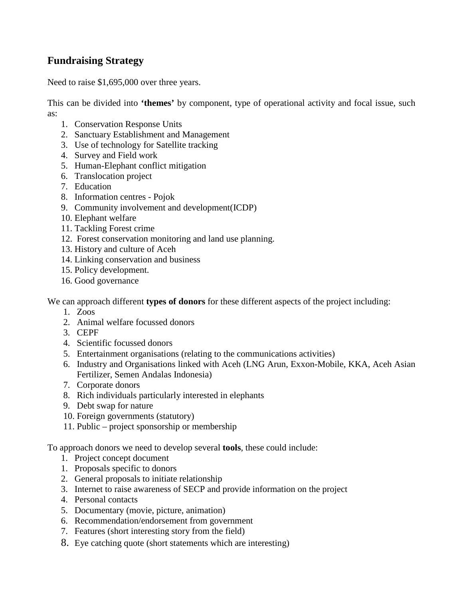# **Fundraising Strategy**

Need to raise \$1,695,000 over three years.

This can be divided into **'themes'** by component, type of operational activity and focal issue, such as:

- 1. Conservation Response Units
- 2. Sanctuary Establishment and Management
- 3. Use of technology for Satellite tracking
- 4. Survey and Field work
- 5. Human-Elephant conflict mitigation
- 6. Translocation project
- 7. Education
- 8. Information centres Pojok
- 9. Community involvement and development(ICDP)
- 10. Elephant welfare
- 11. Tackling Forest crime
- 12. Forest conservation monitoring and land use planning.
- 13. History and culture of Aceh
- 14. Linking conservation and business
- 15. Policy development.
- 16. Good governance

We can approach different **types of donors** for these different aspects of the project including:

- 1. Zoos
- 2. Animal welfare focussed donors
- 3. CEPF
- 4. Scientific focussed donors
- 5. Entertainment organisations (relating to the communications activities)
- 6. Industry and Organisations linked with Aceh (LNG Arun, Exxon-Mobile, KKA, Aceh Asian Fertilizer, Semen Andalas Indonesia)
- 7. Corporate donors
- 8. Rich individuals particularly interested in elephants
- 9. Debt swap for nature
- 10. Foreign governments (statutory)
- 11. Public project sponsorship or membership

To approach donors we need to develop several **tools**, these could include:

- 1. Project concept document
- 1. Proposals specific to donors
- 2. General proposals to initiate relationship
- 3. Internet to raise awareness of SECP and provide information on the project
- 4. Personal contacts
- 5. Documentary (movie, picture, animation)
- 6. Recommendation/endorsement from government
- 7. Features (short interesting story from the field)
- 8. Eye catching quote (short statements which are interesting)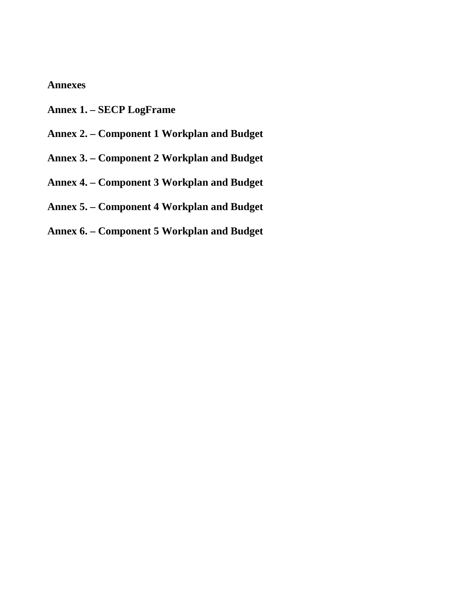# **Annexes**

- **Annex 1. – SECP LogFrame**
- **Annex 2. Component 1 Workplan and Budget**
- **Annex 3. Component 2 Workplan and Budget**
- **Annex 4. Component 3 Workplan and Budget**
- **Annex 5. Component 4 Workplan and Budget**
- **Annex 6. Component 5 Workplan and Budget**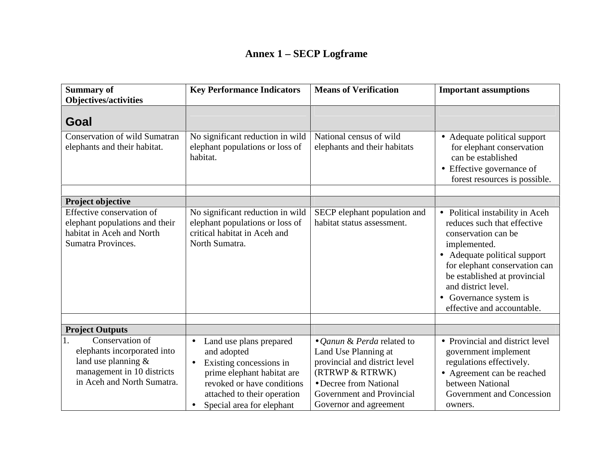## **Annex 1 – SECP Logframe**

| <b>Summary of</b><br><b>Objectives/activities</b>                                                                                       | <b>Key Performance Indicators</b>                                                                                                                                                                      | <b>Means of Verification</b>                                                                                                                                                            | <b>Important assumptions</b>                                                                                                                                                                                                                                                          |
|-----------------------------------------------------------------------------------------------------------------------------------------|--------------------------------------------------------------------------------------------------------------------------------------------------------------------------------------------------------|-----------------------------------------------------------------------------------------------------------------------------------------------------------------------------------------|---------------------------------------------------------------------------------------------------------------------------------------------------------------------------------------------------------------------------------------------------------------------------------------|
| Goal                                                                                                                                    |                                                                                                                                                                                                        |                                                                                                                                                                                         |                                                                                                                                                                                                                                                                                       |
| <b>Conservation of wild Sumatran</b><br>elephants and their habitat.                                                                    | No significant reduction in wild<br>elephant populations or loss of<br>habitat.                                                                                                                        | National census of wild<br>elephants and their habitats                                                                                                                                 | • Adequate political support<br>for elephant conservation<br>can be established<br>• Effective governance of<br>forest resources is possible.                                                                                                                                         |
| <b>Project objective</b>                                                                                                                |                                                                                                                                                                                                        |                                                                                                                                                                                         |                                                                                                                                                                                                                                                                                       |
| Effective conservation of<br>elephant populations and their<br>habitat in Aceh and North<br>Sumatra Provinces.                          | No significant reduction in wild<br>elephant populations or loss of<br>critical habitat in Aceh and<br>North Sumatra.                                                                                  | SECP elephant population and<br>habitat status assessment.                                                                                                                              | • Political instability in Aceh<br>reduces such that effective<br>conservation can be<br>implemented.<br>• Adequate political support<br>for elephant conservation can<br>be established at provincial<br>and district level.<br>• Governance system is<br>effective and accountable. |
| <b>Project Outputs</b>                                                                                                                  |                                                                                                                                                                                                        |                                                                                                                                                                                         |                                                                                                                                                                                                                                                                                       |
| Conservation of<br>1.<br>elephants incorporated into<br>land use planning &<br>management in 10 districts<br>in Aceh and North Sumatra. | Land use plans prepared<br>and adopted<br>Existing concessions in<br>$\bullet$<br>prime elephant habitat are<br>revoked or have conditions<br>attached to their operation<br>Special area for elephant | • Qanun & Perda related to<br>Land Use Planning at<br>provincial and district level<br>(RTRWP & RTRWK)<br>• Decree from National<br>Government and Provincial<br>Governor and agreement | • Provincial and district level<br>government implement<br>regulations effectively.<br>• Agreement can be reached<br>between National<br>Government and Concession<br>owners.                                                                                                         |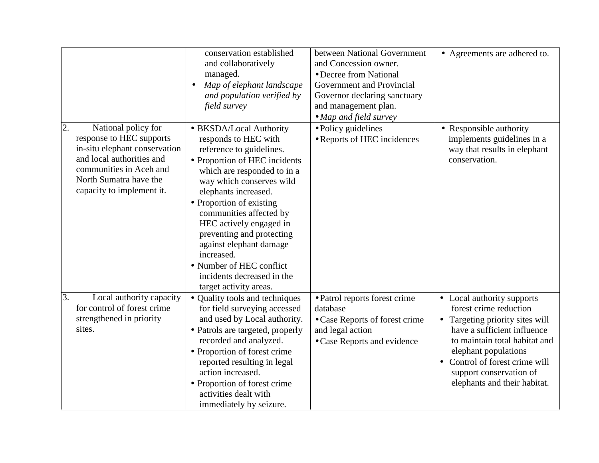|                                                                                                                                                                                                       | conservation established<br>and collaboratively<br>managed.<br>Map of elephant landscape<br>$\bullet$<br>and population verified by<br>field survey                                                                                                                                                                                                                                                                                         | between National Government<br>and Concession owner.<br>• Decree from National<br>Government and Provincial<br>Governor declaring sanctuary<br>and management plan.<br>• Map and field survey | • Agreements are adhered to.                                                                                                                                                                                                                                               |
|-------------------------------------------------------------------------------------------------------------------------------------------------------------------------------------------------------|---------------------------------------------------------------------------------------------------------------------------------------------------------------------------------------------------------------------------------------------------------------------------------------------------------------------------------------------------------------------------------------------------------------------------------------------|-----------------------------------------------------------------------------------------------------------------------------------------------------------------------------------------------|----------------------------------------------------------------------------------------------------------------------------------------------------------------------------------------------------------------------------------------------------------------------------|
| 2.<br>National policy for<br>response to HEC supports<br>in-situ elephant conservation<br>and local authorities and<br>communities in Aceh and<br>North Sumatra have the<br>capacity to implement it. | • BKSDA/Local Authority<br>responds to HEC with<br>reference to guidelines.<br>• Proportion of HEC incidents<br>which are responded to in a<br>way which conserves wild<br>elephants increased.<br>• Proportion of existing<br>communities affected by<br>HEC actively engaged in<br>preventing and protecting<br>against elephant damage<br>increased.<br>• Number of HEC conflict<br>incidents decreased in the<br>target activity areas. | · Policy guidelines<br>• Reports of HEC incidences                                                                                                                                            | • Responsible authority<br>implements guidelines in a<br>way that results in elephant<br>conservation.                                                                                                                                                                     |
| 3.<br>Local authority capacity<br>for control of forest crime<br>strengthened in priority<br>sites.                                                                                                   | • Quality tools and techniques<br>for field surveying accessed<br>and used by Local authority.<br>• Patrols are targeted, properly<br>recorded and analyzed.<br>• Proportion of forest crime<br>reported resulting in legal<br>action increased.<br>• Proportion of forest crime<br>activities dealt with<br>immediately by seizure.                                                                                                        | • Patrol reports forest crime<br>database<br>• Case Reports of forest crime<br>and legal action<br>• Case Reports and evidence                                                                | • Local authority supports<br>forest crime reduction<br>• Targeting priority sites will<br>have a sufficient influence<br>to maintain total habitat and<br>elephant populations<br>Control of forest crime will<br>support conservation of<br>elephants and their habitat. |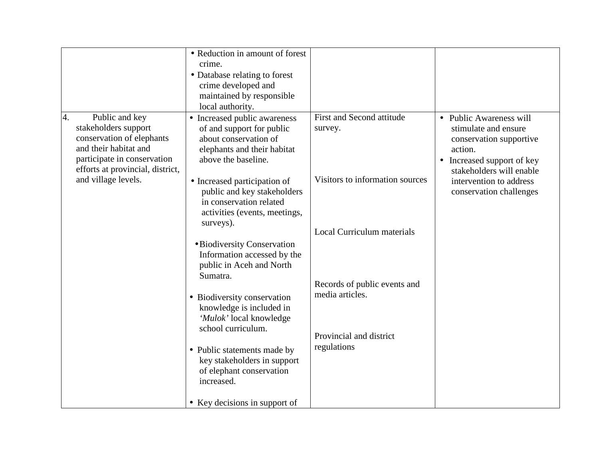|                                                                                                                                                                       | • Reduction in amount of forest<br>crime.<br>• Database relating to forest<br>crime developed and<br>maintained by responsible<br>local authority.                                       |                                                               |                                                                                                                                                 |
|-----------------------------------------------------------------------------------------------------------------------------------------------------------------------|------------------------------------------------------------------------------------------------------------------------------------------------------------------------------------------|---------------------------------------------------------------|-------------------------------------------------------------------------------------------------------------------------------------------------|
| Public and key<br>4.<br>stakeholders support<br>conservation of elephants<br>and their habitat and<br>participate in conservation<br>efforts at provincial, district, | • Increased public awareness<br>of and support for public<br>about conservation of<br>elephants and their habitat<br>above the baseline.                                                 | First and Second attitude<br>survey.                          | • Public Awareness will<br>stimulate and ensure<br>conservation supportive<br>action.<br>• Increased support of key<br>stakeholders will enable |
| and village levels.                                                                                                                                                   | • Increased participation of<br>public and key stakeholders<br>in conservation related<br>activities (events, meetings,<br>surveys).                                                     | Visitors to information sources<br>Local Curriculum materials | intervention to address<br>conservation challenges                                                                                              |
|                                                                                                                                                                       | • Biodiversity Conservation<br>Information accessed by the<br>public in Aceh and North<br>Sumatra.<br>• Biodiversity conservation<br>knowledge is included in<br>'Mulok' local knowledge | Records of public events and<br>media articles.               |                                                                                                                                                 |
|                                                                                                                                                                       | school curriculum.<br>• Public statements made by<br>key stakeholders in support<br>of elephant conservation<br>increased.<br>• Key decisions in support of                              | Provincial and district<br>regulations                        |                                                                                                                                                 |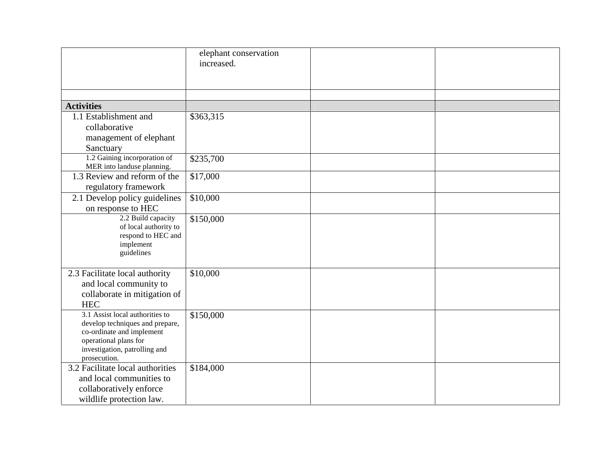|                                                                                                                                                                           | elephant conservation<br>increased. |
|---------------------------------------------------------------------------------------------------------------------------------------------------------------------------|-------------------------------------|
| <b>Activities</b>                                                                                                                                                         |                                     |
| 1.1 Establishment and<br>collaborative<br>management of elephant<br>Sanctuary                                                                                             | \$363,315                           |
| 1.2 Gaining incorporation of<br>MER into landuse planning.                                                                                                                | \$235,700                           |
| 1.3 Review and reform of the<br>regulatory framework                                                                                                                      | \$17,000                            |
| 2.1 Develop policy guidelines<br>on response to HEC                                                                                                                       | \$10,000                            |
| 2.2 Build capacity<br>of local authority to<br>respond to HEC and<br>implement<br>guidelines                                                                              | \$150,000                           |
| 2.3 Facilitate local authority<br>and local community to<br>collaborate in mitigation of<br><b>HEC</b>                                                                    | \$10,000                            |
| 3.1 Assist local authorities to<br>develop techniques and prepare,<br>co-ordinate and implement<br>operational plans for<br>investigation, patrolling and<br>prosecution. | \$150,000                           |
| 3.2 Facilitate local authorities<br>and local communities to<br>collaboratively enforce<br>wildlife protection law.                                                       | \$184,000                           |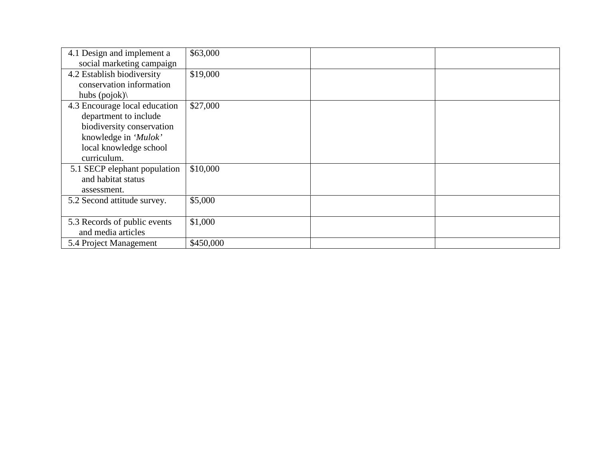| 4.1 Design and implement a    | \$63,000  |  |
|-------------------------------|-----------|--|
| social marketing campaign     |           |  |
| 4.2 Establish biodiversity    | \$19,000  |  |
| conservation information      |           |  |
| hubs $(pojok)$                |           |  |
| 4.3 Encourage local education | \$27,000  |  |
| department to include         |           |  |
| biodiversity conservation     |           |  |
| knowledge in 'Mulok'          |           |  |
| local knowledge school        |           |  |
| curriculum.                   |           |  |
| 5.1 SECP elephant population  | \$10,000  |  |
| and habitat status            |           |  |
| assessment.                   |           |  |
| 5.2 Second attitude survey.   | \$5,000   |  |
|                               |           |  |
| 5.3 Records of public events  | \$1,000   |  |
| and media articles            |           |  |
| 5.4 Project Management        | \$450,000 |  |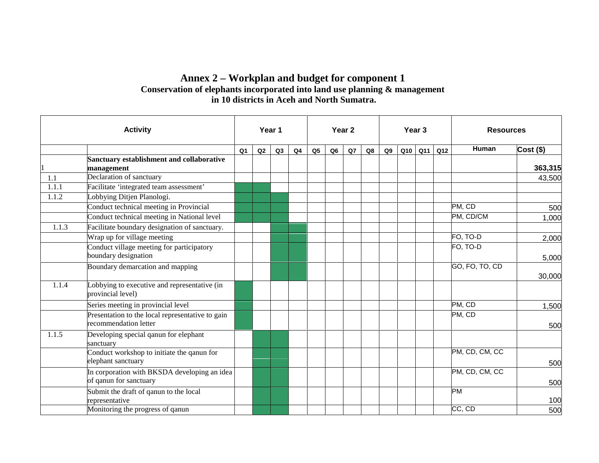## **Annex 2 – Workplan and budget for component 1 Conservation of elephants incorporated into land use planning & management in 10 districts in Aceh and North Sumatra.**

|       | <b>Activity</b>                                                           |                | Year 1 |    |    | Year <sub>2</sub> |    |    |    | Year <sub>3</sub> |             | <b>Resources</b> |                |             |
|-------|---------------------------------------------------------------------------|----------------|--------|----|----|-------------------|----|----|----|-------------------|-------------|------------------|----------------|-------------|
|       |                                                                           | Q <sub>1</sub> | Q2     | Q3 | Q4 | Q <sub>5</sub>    | Q6 | Q7 | Q8 | Q9                | $Q10$ $Q11$ | Q12              | Human          | $Cost($ \$) |
|       | Sanctuary establishment and collaborative<br>management                   |                |        |    |    |                   |    |    |    |                   |             |                  |                | 363,315     |
| 1.1   | Declaration of sanctuary                                                  |                |        |    |    |                   |    |    |    |                   |             |                  |                | 43,500      |
| 1.1.1 | Facilitate 'integrated team assessment'                                   |                |        |    |    |                   |    |    |    |                   |             |                  |                |             |
| 1.1.2 | Lobbying Ditjen Planologi.                                                |                |        |    |    |                   |    |    |    |                   |             |                  |                |             |
|       | Conduct technical meeting in Provincial                                   |                |        |    |    |                   |    |    |    |                   |             |                  | PM, CD         | 500         |
|       | Conduct technical meeting in National level                               |                |        |    |    |                   |    |    |    |                   |             |                  | PM, CD/CM      | 1,000       |
| 1.1.3 | Facilitate boundary designation of sanctuary.                             |                |        |    |    |                   |    |    |    |                   |             |                  |                |             |
|       | Wrap up for village meeting                                               |                |        |    |    |                   |    |    |    |                   |             |                  | FO, TO-D       | 2,000       |
|       | Conduct village meeting for participatory<br>boundary designation         |                |        |    |    |                   |    |    |    |                   |             |                  | FO, TO-D       | 5,000       |
|       | Boundary demarcation and mapping                                          |                |        |    |    |                   |    |    |    |                   |             |                  | GO, FO, TO, CD | 30,000      |
| 1.1.4 | Lobbying to executive and representative (in<br>provincial level)         |                |        |    |    |                   |    |    |    |                   |             |                  |                |             |
|       | Series meeting in provincial level                                        |                |        |    |    |                   |    |    |    |                   |             |                  | PM, CD         | 1,500       |
|       | Presentation to the local representative to gain<br>recommendation letter |                |        |    |    |                   |    |    |    |                   |             |                  | PM, CD         | 500         |
| 1.1.5 | Developing special qanun for elephant<br>sanctuary                        |                |        |    |    |                   |    |    |    |                   |             |                  |                |             |
|       | Conduct workshop to initiate the qanun for<br>elephant sanctuary          |                |        |    |    |                   |    |    |    |                   |             |                  | PM, CD, CM, CC | 500         |
|       | In corporation with BKSDA developing an idea<br>of qanun for sanctuary    |                |        |    |    |                   |    |    |    |                   |             |                  | PM, CD, CM, CC | 500         |
|       | Submit the draft of qanun to the local<br>representative                  |                |        |    |    |                   |    |    |    |                   |             |                  | <b>PM</b>      | 100         |
|       | Monitoring the progress of qanun                                          |                |        |    |    |                   |    |    |    |                   |             |                  | CC, CD         | 500         |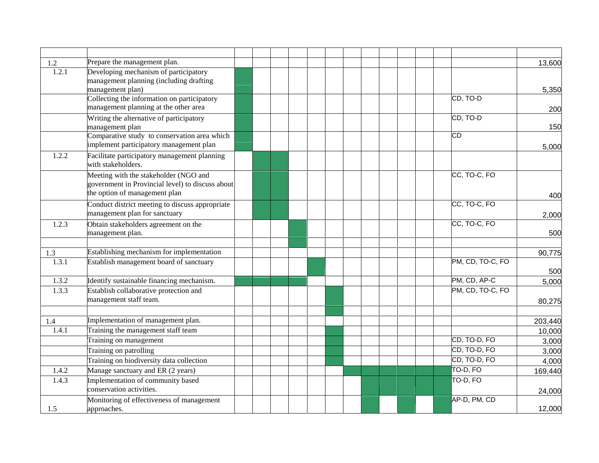| 1.2   | Prepare the management plan.                                                         |  |  |  |                  | 13,600  |
|-------|--------------------------------------------------------------------------------------|--|--|--|------------------|---------|
| 1.2.1 | Developing mechanism of participatory                                                |  |  |  |                  |         |
|       | management planning (including drafting                                              |  |  |  |                  |         |
|       | management plan)                                                                     |  |  |  |                  | 5,350   |
|       | Collecting the information on participatory<br>management planning at the other area |  |  |  | CD, TO-D         |         |
|       |                                                                                      |  |  |  |                  | 200     |
|       | Writing the alternative of participatory<br>management plan                          |  |  |  | CD, TO-D         | 150     |
|       | Comparative study to conservation area which                                         |  |  |  | $\overline{CD}$  |         |
|       | implement participatory management plan                                              |  |  |  |                  | 5,000   |
| 1.2.2 | Facilitate participatory management planning                                         |  |  |  |                  |         |
|       | with stakeholders.                                                                   |  |  |  |                  |         |
|       | Meeting with the stakeholder (NGO and                                                |  |  |  | CC, TO-C, FO     |         |
|       | government in Provincial level) to discuss about                                     |  |  |  |                  |         |
|       | the option of management plan                                                        |  |  |  |                  | 400     |
|       | Conduct district meeting to discuss appropriate                                      |  |  |  | CC, TO-C, FO     |         |
|       | management plan for sanctuary                                                        |  |  |  |                  | 2,000   |
| 1.2.3 | Obtain stakeholders agreement on the                                                 |  |  |  | CC, TO-C, FO     |         |
|       | management plan.                                                                     |  |  |  |                  | 500     |
|       |                                                                                      |  |  |  |                  |         |
| 1.3   | Establishing mechanism for implementation                                            |  |  |  |                  | 90,775  |
| 1.3.1 | Establish management board of sanctuary                                              |  |  |  | PM, CD, TO-C, FO |         |
|       |                                                                                      |  |  |  |                  | 500     |
| 1.3.2 | Identify sustainable financing mechanism.                                            |  |  |  | PM, CD, AP-C     | 5,000   |
| 1.3.3 | Establish collaborative protection and                                               |  |  |  | PM, CD, TO-C, FO |         |
|       | management staff team.                                                               |  |  |  |                  | 80,275  |
| 1.4   | Implementation of management plan.                                                   |  |  |  |                  | 203,440 |
| 1.4.1 | Training the management staff team                                                   |  |  |  |                  | 10,000  |
|       | Training on management                                                               |  |  |  | CD, TO-D, FO     | 3,000   |
|       | Training on patrolling                                                               |  |  |  | CD, TO-D, FO     | 3,000   |
|       | Training on biodiversity data collection                                             |  |  |  | CD, TO-D, FO     | 4,000   |
| 1.4.2 | Manage sanctuary and ER (2 years)                                                    |  |  |  | TO-D, FO         | 169,440 |
| 1.4.3 | Implementation of community based                                                    |  |  |  | TO-D, FO         |         |
|       | conservation activities.                                                             |  |  |  |                  | 24,000  |
|       | Monitoring of effectiveness of management                                            |  |  |  | AP-D, PM, CD     |         |
| 1.5   | approaches.                                                                          |  |  |  |                  | 12,000  |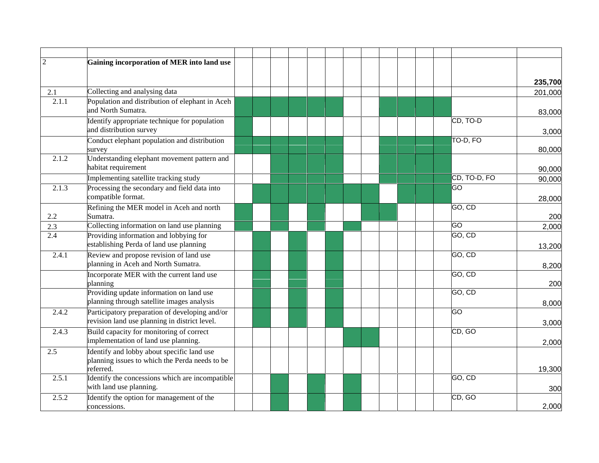| $\overline{2}$   | Gaining incorporation of MER into land use                                        |  |  |  |                      |                    |
|------------------|-----------------------------------------------------------------------------------|--|--|--|----------------------|--------------------|
|                  |                                                                                   |  |  |  |                      |                    |
| 2.1              | Collecting and analysing data                                                     |  |  |  |                      | 235,700<br>201,000 |
| 2.1.1            | Population and distribution of elephant in Aceh                                   |  |  |  |                      |                    |
|                  | and North Sumatra.                                                                |  |  |  |                      | 83,000             |
|                  | Identify appropriate technique for population                                     |  |  |  | CD, TO-D             |                    |
|                  | and distribution survey                                                           |  |  |  |                      | 3,000              |
|                  | Conduct elephant population and distribution                                      |  |  |  | TO-D, FO             |                    |
|                  | survey                                                                            |  |  |  |                      | 80,000             |
| 2.1.2            | Understanding elephant movement pattern and<br>habitat requirement                |  |  |  |                      | 90,000             |
|                  | Implementing satellite tracking study                                             |  |  |  | CD, TO-D, FO         | 90,000             |
| 2.1.3            | Processing the secondary and field data into<br>compatible format.                |  |  |  | $\overline{5}$       | 28,000             |
|                  | Refining the MER model in Aceh and north                                          |  |  |  | GO, CD               |                    |
| 2.2              | Sumatra.                                                                          |  |  |  |                      | 200                |
| 2.3              | Collecting information on land use planning                                       |  |  |  | GO                   | 2,000              |
| $\overline{2.4}$ | Providing information and lobbying for<br>establishing Perda of land use planning |  |  |  | GO, CD               | 13,200             |
| 2.4.1            | Review and propose revision of land use<br>planning in Aceh and North Sumatra.    |  |  |  | $\overline{GO}$ , CD | 8,200              |
|                  | Incorporate MER with the current land use                                         |  |  |  | $\overline{GO}$ , CD |                    |
|                  | planning                                                                          |  |  |  |                      | 200                |
|                  | Providing update information on land use                                          |  |  |  | GO, CD               |                    |
|                  | planning through satellite images analysis                                        |  |  |  |                      | 8,000              |
| 2.4.2            | Participatory preparation of developing and/or                                    |  |  |  | GO                   |                    |
|                  | revision land use planning in district level.                                     |  |  |  |                      | 3,000              |
| 2.4.3            | Build capacity for monitoring of correct<br>implementation of land use planning.  |  |  |  | CD, GO               |                    |
| 2.5              | Identify and lobby about specific land use                                        |  |  |  |                      | 2,000              |
|                  | planning issues to which the Perda needs to be                                    |  |  |  |                      |                    |
|                  | referred.                                                                         |  |  |  |                      | 19,300             |
| 2.5.1            | Identify the concessions which are incompatible                                   |  |  |  | GO, CD               |                    |
|                  | with land use planning.                                                           |  |  |  |                      | 300                |
| 2.5.2            | Identify the option for management of the                                         |  |  |  | CD, GO               |                    |
|                  | concessions.                                                                      |  |  |  |                      | 2,000              |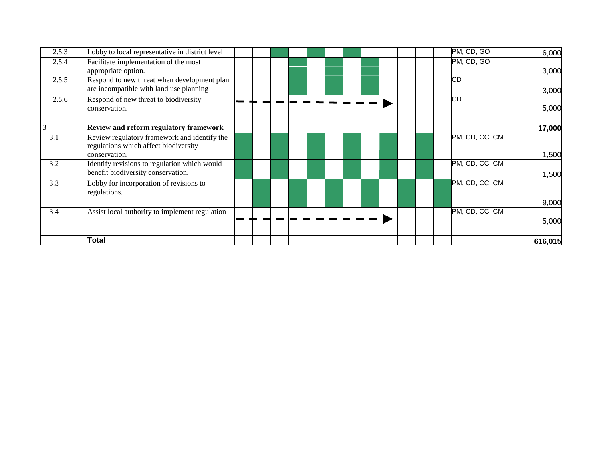| 2.5.3 | Lobby to local representative in district level                                                        |  |  |  |  |  | PM, CD, GO     | 6,000   |
|-------|--------------------------------------------------------------------------------------------------------|--|--|--|--|--|----------------|---------|
| 2.5.4 | Facilitate implementation of the most<br>appropriate option.                                           |  |  |  |  |  | PM, CD, GO     | 3,000   |
| 2.5.5 | Respond to new threat when development plan<br>are incompatible with land use planning                 |  |  |  |  |  | <b>CD</b>      | 3,000   |
| 2.5.6 | Respond of new threat to biodiversity<br>conservation.                                                 |  |  |  |  |  | CD             | 5,000   |
| 3     | Review and reform regulatory framework                                                                 |  |  |  |  |  |                | 17,000  |
| 3.1   | Review regulatory framework and identify the<br>regulations which affect biodiversity<br>conservation. |  |  |  |  |  | PM, CD, CC, CM | 1,500   |
| 3.2   | Identify revisions to regulation which would<br>benefit biodiversity conservation.                     |  |  |  |  |  | PM, CD, CC, CM | 1,500   |
| 3.3   | Lobby for incorporation of revisions to<br>regulations.                                                |  |  |  |  |  | PM, CD, CC, CM | 9,000   |
| 3.4   | Assist local authority to implement regulation                                                         |  |  |  |  |  | PM, CD, CC, CM | 5,000   |
|       | Total                                                                                                  |  |  |  |  |  |                | 616,015 |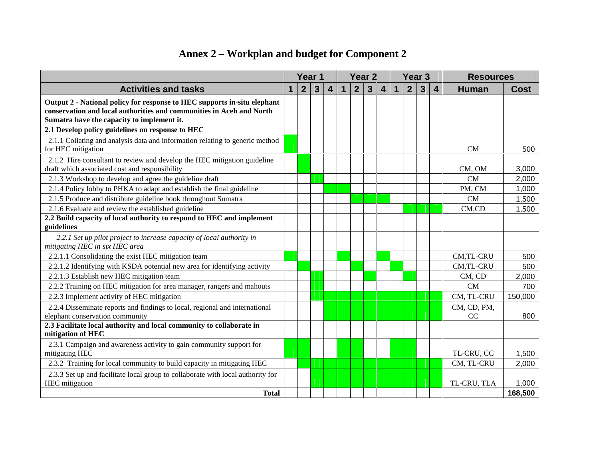## **Annex 2 – Workplan and budget for Component 2**

|                                                                                                                                                                                                |              | Year <sub>1</sub> |                |   |              |                | Year <sub>2</sub> |                         |             |                | Year <sub>3</sub>       |                         | <b>Resources</b>  |             |
|------------------------------------------------------------------------------------------------------------------------------------------------------------------------------------------------|--------------|-------------------|----------------|---|--------------|----------------|-------------------|-------------------------|-------------|----------------|-------------------------|-------------------------|-------------------|-------------|
| <b>Activities and tasks</b>                                                                                                                                                                    | $\mathbf{1}$ | $\overline{2}$    | $\overline{3}$ | 4 | $\mathbf{1}$ | $\overline{2}$ | $\overline{3}$    | $\overline{\mathbf{4}}$ | $\mathbf 1$ | $\overline{2}$ | $\overline{\mathbf{3}}$ | $\overline{\mathbf{4}}$ | <b>Human</b>      | <b>Cost</b> |
| Output 2 - National policy for response to HEC supports in-situ elephant<br>conservation and local authorities and communities in Aceh and North<br>Sumatra have the capacity to implement it. |              |                   |                |   |              |                |                   |                         |             |                |                         |                         |                   |             |
| 2.1 Develop policy guidelines on response to HEC                                                                                                                                               |              |                   |                |   |              |                |                   |                         |             |                |                         |                         |                   |             |
| 2.1.1 Collating and analysis data and information relating to generic method<br>for HEC mitigation                                                                                             |              |                   |                |   |              |                |                   |                         |             |                |                         |                         | <b>CM</b>         | 500         |
| 2.1.2 Hire consultant to review and develop the HEC mitigation guideline<br>draft which associated cost and responsibility                                                                     |              |                   |                |   |              |                |                   |                         |             |                |                         |                         | CM, OM            | 3,000       |
| 2.1.3 Workshop to develop and agree the guideline draft                                                                                                                                        |              |                   |                |   |              |                |                   |                         |             |                |                         |                         | <b>CM</b>         | 2,000       |
| 2.1.4 Policy lobby to PHKA to adapt and establish the final guideline                                                                                                                          |              |                   |                |   |              |                |                   |                         |             |                |                         |                         | PM, CM            | 1,000       |
| 2.1.5 Produce and distribute guideline book throughout Sumatra                                                                                                                                 |              |                   |                |   |              |                |                   |                         |             |                |                         |                         | <b>CM</b>         | 1,500       |
| 2.1.6 Evaluate and review the established guideline                                                                                                                                            |              |                   |                |   |              |                |                   |                         |             |                |                         |                         | CM,CD             | 1,500       |
| 2.2 Build capacity of local authority to respond to HEC and implement                                                                                                                          |              |                   |                |   |              |                |                   |                         |             |                |                         |                         |                   |             |
| guidelines                                                                                                                                                                                     |              |                   |                |   |              |                |                   |                         |             |                |                         |                         |                   |             |
| 2.2.1 Set up pilot project to increase capacity of local authority in<br>mitigating HEC in six HEC area                                                                                        |              |                   |                |   |              |                |                   |                         |             |                |                         |                         |                   |             |
| 2.2.1.1 Consolidating the exist HEC mitigation team                                                                                                                                            |              |                   |                |   |              |                |                   |                         |             |                |                         |                         | CM,TL-CRU         | 500         |
| 2.2.1.2 Identifying with KSDA potential new area for identifying activity                                                                                                                      |              |                   |                |   |              |                |                   |                         |             |                |                         |                         | CM,TL-CRU         | 500         |
| 2.2.1.3 Establish new HEC mitigation team                                                                                                                                                      |              |                   |                |   |              |                |                   |                         |             |                |                         |                         | CM, CD            | 2,000       |
| 2.2.2 Training on HEC mitigation for area manager, rangers and mahouts                                                                                                                         |              |                   |                |   |              |                |                   |                         |             |                |                         |                         | <b>CM</b>         | 700         |
| 2.2.3 Implement activity of HEC mitigation                                                                                                                                                     |              |                   |                |   |              |                |                   |                         |             |                |                         |                         | CM, TL-CRU        | 150,000     |
| 2.2.4 Disseminate reports and findings to local, regional and international<br>elephant conservation community                                                                                 |              |                   |                |   |              |                |                   |                         |             |                |                         |                         | CM, CD, PM,<br>CC | 800         |
| 2.3 Facilitate local authority and local community to collaborate in<br>mitigation of HEC                                                                                                      |              |                   |                |   |              |                |                   |                         |             |                |                         |                         |                   |             |
|                                                                                                                                                                                                |              |                   |                |   |              |                |                   |                         |             |                |                         |                         |                   |             |
| 2.3.1 Campaign and awareness activity to gain community support for<br>mitigating HEC                                                                                                          |              |                   |                |   |              |                |                   |                         |             |                |                         |                         | TL-CRU, CC        | 1,500       |
| 2.3.2 Training for local community to build capacity in mitigating HEC                                                                                                                         |              |                   |                |   |              |                |                   |                         |             |                |                         |                         | CM, TL-CRU        | 2,000       |
| 2.3.3 Set up and facilitate local group to collaborate with local authority for<br><b>HEC</b> mitigation                                                                                       |              |                   |                |   |              |                |                   |                         |             |                |                         |                         | TL-CRU, TLA       | 1,000       |
| <b>Total</b>                                                                                                                                                                                   |              |                   |                |   |              |                |                   |                         |             |                |                         |                         |                   | 168,500     |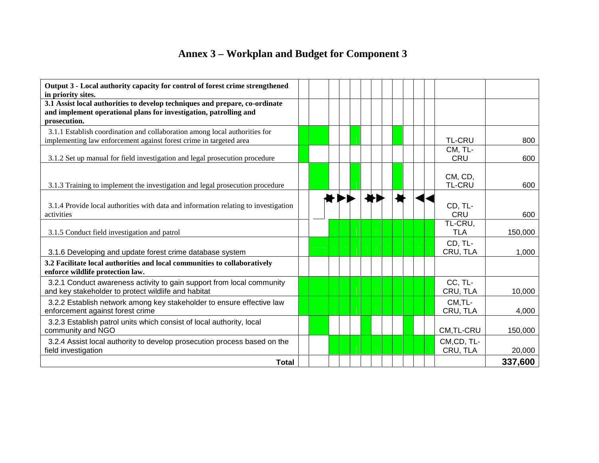## **Annex 3 – Workplan and Budget for Component 3**

| Output 3 - Local authority capacity for control of forest crime strengthened<br>in priority sites.                                                               |  |  |  |                          |         |
|------------------------------------------------------------------------------------------------------------------------------------------------------------------|--|--|--|--------------------------|---------|
| 3.1 Assist local authorities to develop techniques and prepare, co-ordinate<br>and implement operational plans for investigation, patrolling and<br>prosecution. |  |  |  |                          |         |
| 3.1.1 Establish coordination and collaboration among local authorities for<br>implementing law enforcement against forest crime in targeted area                 |  |  |  | <b>TL-CRU</b>            | 800     |
| 3.1.2 Set up manual for field investigation and legal prosecution procedure                                                                                      |  |  |  | CM, TL-<br><b>CRU</b>    | 600     |
| 3.1.3 Training to implement the investigation and legal prosecution procedure                                                                                    |  |  |  | CM, CD,<br><b>TL-CRU</b> | 600     |
| 3.1.4 Provide local authorities with data and information relating to investigation<br>activities                                                                |  |  |  | CD, TL-<br>CRU           | 600     |
| 3.1.5 Conduct field investigation and patrol                                                                                                                     |  |  |  | TL-CRU,<br><b>TLA</b>    | 150,000 |
| 3.1.6 Developing and update forest crime database system                                                                                                         |  |  |  | CD, TL-<br>CRU, TLA      | 1,000   |
| 3.2 Facilitate local authorities and local communities to collaboratively<br>enforce wildlife protection law.                                                    |  |  |  |                          |         |
| 3.2.1 Conduct awareness activity to gain support from local community<br>and key stakeholder to protect wildlife and habitat                                     |  |  |  | CC, TL-<br>CRU, TLA      | 10,000  |
| 3.2.2 Establish network among key stakeholder to ensure effective law<br>enforcement against forest crime                                                        |  |  |  | CM, TL-<br>CRU, TLA      | 4,000   |
| 3.2.3 Establish patrol units which consist of local authority, local<br>community and NGO                                                                        |  |  |  | CM, TL-CRU               | 150,000 |
| 3.2.4 Assist local authority to develop prosecution process based on the<br>field investigation                                                                  |  |  |  | CM,CD, TL-<br>CRU, TLA   | 20,000  |
| <b>Total</b>                                                                                                                                                     |  |  |  |                          | 337,600 |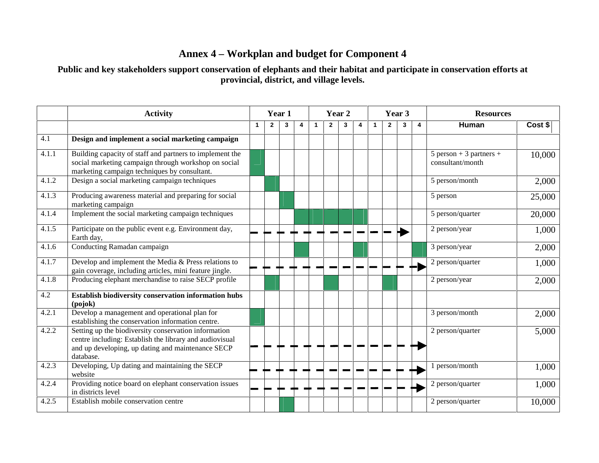## **Annex 4 – Workplan and budget for Component 4**

Public and key stakeholders support conservation of elephants and their habitat and participate in conservation efforts at **provincial, district, and village levels.**

|       | <b>Activity</b>                                                                                                                                                                   |   | Year 2<br>Year 1 |   |   |              |                |   |   | Year 3       |                | <b>Resources</b> |                         |                                               |         |
|-------|-----------------------------------------------------------------------------------------------------------------------------------------------------------------------------------|---|------------------|---|---|--------------|----------------|---|---|--------------|----------------|------------------|-------------------------|-----------------------------------------------|---------|
|       |                                                                                                                                                                                   | 1 | $\mathbf{2}$     | 3 | 4 | $\mathbf{1}$ | $\overline{2}$ | 3 | 4 | $\mathbf{1}$ | $\overline{2}$ | 3                | $\overline{\mathbf{4}}$ | Human                                         | Cost \$ |
| 4.1   | Design and implement a social marketing campaign                                                                                                                                  |   |                  |   |   |              |                |   |   |              |                |                  |                         |                                               |         |
| 4.1.1 | Building capacity of staff and partners to implement the<br>social marketing campaign through workshop on social<br>marketing campaign techniques by consultant.                  |   |                  |   |   |              |                |   |   |              |                |                  |                         | $5$ person + 3 partners +<br>consultant/month | 10,000  |
| 4.1.2 | Design a social marketing campaign techniques                                                                                                                                     |   |                  |   |   |              |                |   |   |              |                |                  |                         | 5 person/month                                | 2,000   |
| 4.1.3 | Producing awareness material and preparing for social<br>marketing campaign                                                                                                       |   |                  |   |   |              |                |   |   |              |                |                  |                         | 5 person                                      | 25,000  |
| 4.1.4 | Implement the social marketing campaign techniques                                                                                                                                |   |                  |   |   |              |                |   |   |              |                |                  |                         | 5 person/quarter                              | 20,000  |
| 4.1.5 | Participate on the public event e.g. Environment day,<br>Earth day,                                                                                                               |   |                  |   |   |              |                |   |   |              |                |                  |                         | 2 person/year                                 | 1,000   |
| 4.1.6 | Conducting Ramadan campaign                                                                                                                                                       |   |                  |   |   |              |                |   |   |              |                |                  |                         | 3 person/year                                 | 2,000   |
| 4.1.7 | Develop and implement the Media & Press relations to<br>gain coverage, including articles, mini feature jingle.                                                                   |   |                  |   |   |              |                |   |   |              |                |                  |                         | 2 person/quarter                              | 1,000   |
| 4.1.8 | Producing elephant merchandise to raise SECP profile                                                                                                                              |   |                  |   |   |              |                |   |   |              |                |                  |                         | 2 person/year                                 | 2,000   |
| 4.2   | Establish biodiversity conservation information hubs<br>(pojok)                                                                                                                   |   |                  |   |   |              |                |   |   |              |                |                  |                         |                                               |         |
| 4.2.1 | Develop a management and operational plan for<br>establishing the conservation information centre.                                                                                |   |                  |   |   |              |                |   |   |              |                |                  |                         | 3 person/month                                | 2,000   |
| 4.2.2 | Setting up the biodiversity conservation information<br>centre including: Establish the library and audiovisual<br>and up developing, up dating and maintenance SECP<br>database. |   |                  |   |   |              |                |   |   |              |                |                  |                         | 2 person/quarter                              | 5,000   |
| 4.2.3 | Developing, Up dating and maintaining the SECP<br>website                                                                                                                         |   |                  |   |   |              |                |   |   |              |                |                  |                         | 1 person/month                                | 1,000   |
| 4.2.4 | Providing notice board on elephant conservation issues<br>in districts level                                                                                                      |   |                  |   |   |              |                |   |   |              |                |                  |                         | 2 person/quarter                              | 1,000   |
| 4.2.5 | Establish mobile conservation centre                                                                                                                                              |   |                  |   |   |              |                |   |   |              |                |                  |                         | 2 person/quarter                              | 10,000  |